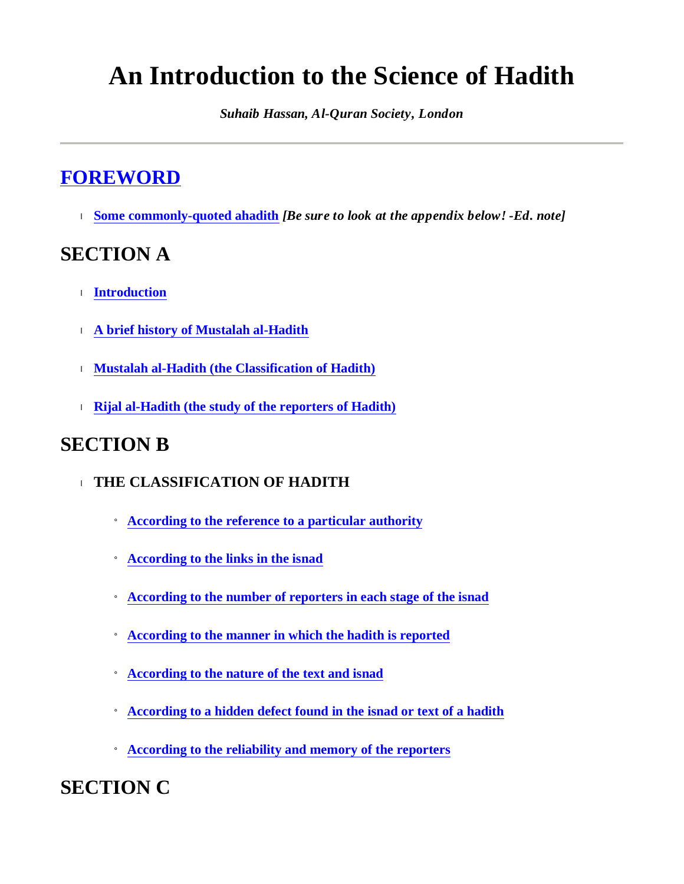# **An Introduction to the Science of Hadith**

*Suhaib Hassan, Al-Quran Society, London*

## **FOREWORD**

<sup>l</sup> **Some commonly-quoted ahadith** *[Be sure to look at the appendix below! -Ed. note]*

## **SECTION A**

- <sup>l</sup> **Introduction**
- <sup>l</sup> **A brief history of Mustalah al-Hadith**
- <sup>l</sup> **Mustalah al-Hadith (the Classification of Hadith)**
- <sup>l</sup> **Rijal al-Hadith (the study of the reporters of Hadith)**

## **SECTION B**

- <sup>l</sup> **THE CLASSIFICATION OF HADITH**
	- ¡ **According to the reference to a particular authority**
	- ¡ **According to the links in the isnad**
	- ¡ **According to the number of reporters in each stage of the isnad**
	- ¡ **According to the manner in which the hadith is reported**
	- ¡ **According to the nature of the text and isnad**
	- ¡ **According to a hidden defect found in the isnad or text of a hadith**
	- ¡ **According to the reliability and memory of the reporters**

**SECTION C**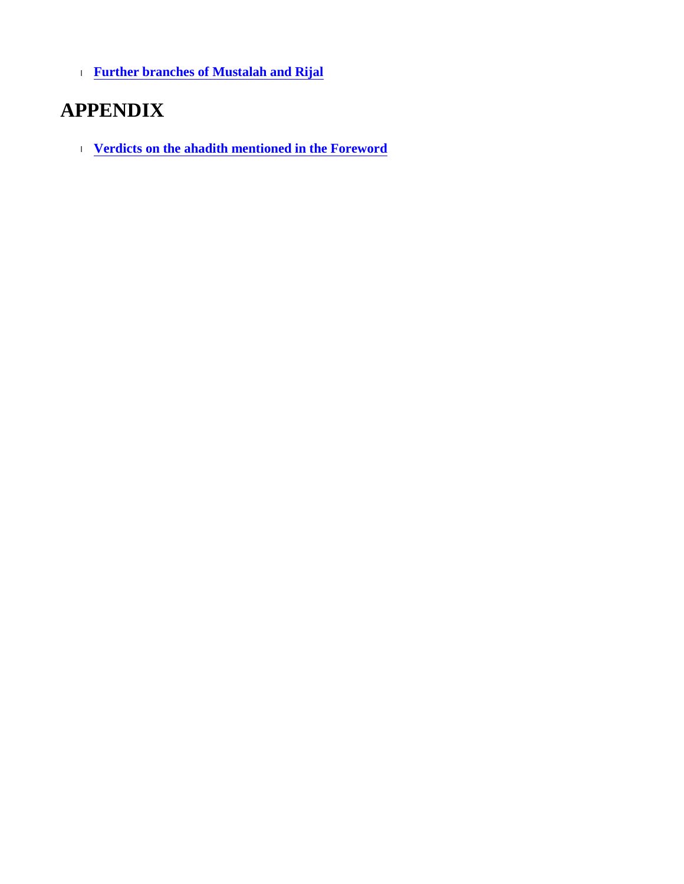<sup>l</sup> **Further branches of Mustalah and Rijal**

## **APPENDIX**

<sup>l</sup> **Verdicts on the ahadith mentioned in the Foreword**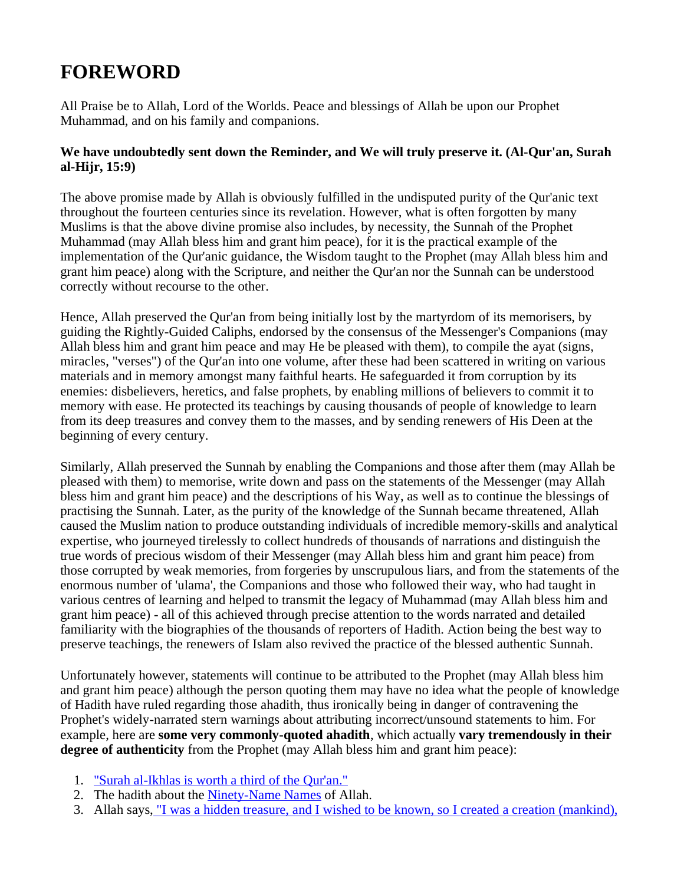## **FOREWORD**

All Praise be to Allah, Lord of the Worlds. Peace and blessings of Allah be upon our Prophet Muhammad, and on his family and companions.

#### **We have undoubtedly sent down the Reminder, and We will truly preserve it. (Al-Qur'an, Surah al-Hijr, 15:9)**

The above promise made by Allah is obviously fulfilled in the undisputed purity of the Qur'anic text throughout the fourteen centuries since its revelation. However, what is often forgotten by many Muslims is that the above divine promise also includes, by necessity, the Sunnah of the Prophet Muhammad (may Allah bless him and grant him peace), for it is the practical example of the implementation of the Qur'anic guidance, the Wisdom taught to the Prophet (may Allah bless him and grant him peace) along with the Scripture, and neither the Qur'an nor the Sunnah can be understood correctly without recourse to the other.

Hence, Allah preserved the Qur'an from being initially lost by the martyrdom of its memorisers, by guiding the Rightly-Guided Caliphs, endorsed by the consensus of the Messenger's Companions (may Allah bless him and grant him peace and may He be pleased with them), to compile the ayat (signs, miracles, "verses") of the Qur'an into one volume, after these had been scattered in writing on various materials and in memory amongst many faithful hearts. He safeguarded it from corruption by its enemies: disbelievers, heretics, and false prophets, by enabling millions of believers to commit it to memory with ease. He protected its teachings by causing thousands of people of knowledge to learn from its deep treasures and convey them to the masses, and by sending renewers of His Deen at the beginning of every century.

Similarly, Allah preserved the Sunnah by enabling the Companions and those after them (may Allah be pleased with them) to memorise, write down and pass on the statements of the Messenger (may Allah bless him and grant him peace) and the descriptions of his Way, as well as to continue the blessings of practising the Sunnah. Later, as the purity of the knowledge of the Sunnah became threatened, Allah caused the Muslim nation to produce outstanding individuals of incredible memory-skills and analytical expertise, who journeyed tirelessly to collect hundreds of thousands of narrations and distinguish the true words of precious wisdom of their Messenger (may Allah bless him and grant him peace) from those corrupted by weak memories, from forgeries by unscrupulous liars, and from the statements of the enormous number of 'ulama', the Companions and those who followed their way, who had taught in various centres of learning and helped to transmit the legacy of Muhammad (may Allah bless him and grant him peace) - all of this achieved through precise attention to the words narrated and detailed familiarity with the biographies of the thousands of reporters of Hadith. Action being the best way to preserve teachings, the renewers of Islam also revived the practice of the blessed authentic Sunnah.

Unfortunately however, statements will continue to be attributed to the Prophet (may Allah bless him and grant him peace) although the person quoting them may have no idea what the people of knowledge of Hadith have ruled regarding those ahadith, thus ironically being in danger of contravening the Prophet's widely-narrated stern warnings about attributing incorrect/unsound statements to him. For example, here are **some very commonly-quoted ahadith**, which actually **vary tremendously in their degree of authenticity** from the Prophet (may Allah bless him and grant him peace):

- 1. "Surah al-Ikhlas is worth a third of the Qur'an."
- 2. The hadith about the Ninety-Name Names of Allah.
- 3. Allah says, "I was a hidden treasure, and I wished to be known, so I created a creation (mankind),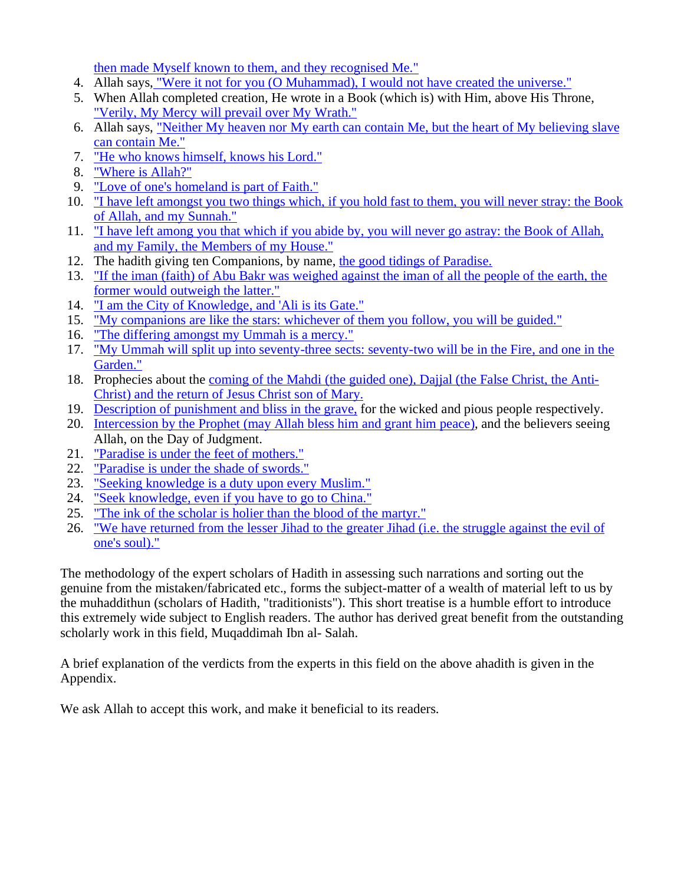then made Myself known to them, and they recognised Me."

- 4. Allah says, "Were it not for you (O Muhammad), I would not have created the universe."
- 5. When Allah completed creation, He wrote in a Book (which is) with Him, above His Throne, "Verily, My Mercy will prevail over My Wrath."
- 6. Allah says, "Neither My heaven nor My earth can contain Me, but the heart of My believing slave can contain Me."
- 7. "He who knows himself, knows his Lord."
- 8. "Where is Allah?"
- 9. "Love of one's homeland is part of Faith."
- 10. "I have left amongst you two things which, if you hold fast to them, you will never stray: the Book of Allah, and my Sunnah."
- 11. "I have left among you that which if you abide by, you will never go astray: the Book of Allah, and my Family, the Members of my House."
- 12. The hadith giving ten Companions, by name, the good tidings of Paradise.
- 13. "If the iman (faith) of Abu Bakr was weighed against the iman of all the people of the earth, the former would outweigh the latter."
- 14. "I am the City of Knowledge, and 'Ali is its Gate."
- 15. "My companions are like the stars: whichever of them you follow, you will be guided."
- 16. "The differing amongst my Ummah is a mercy."
- 17. "My Ummah will split up into seventy-three sects: seventy-two will be in the Fire, and one in the Garden."
- 18. Prophecies about the coming of the Mahdi (the guided one), Dajjal (the False Christ, the Anti-Christ) and the return of Jesus Christ son of Mary.
- 19. Description of punishment and bliss in the grave, for the wicked and pious people respectively.
- 20. Intercession by the Prophet (may Allah bless him and grant him peace), and the believers seeing Allah, on the Day of Judgment.
- 21. "Paradise is under the feet of mothers."
- 22. "Paradise is under the shade of swords."
- 23. "Seeking knowledge is a duty upon every Muslim."
- 24. "Seek knowledge, even if you have to go to China."
- 25. "The ink of the scholar is holier than the blood of the martyr."
- 26. "We have returned from the lesser Jihad to the greater Jihad (i.e. the struggle against the evil of one's soul)."

The methodology of the expert scholars of Hadith in assessing such narrations and sorting out the genuine from the mistaken/fabricated etc., forms the subject-matter of a wealth of material left to us by the muhaddithun (scholars of Hadith, "traditionists"). This short treatise is a humble effort to introduce this extremely wide subject to English readers. The author has derived great benefit from the outstanding scholarly work in this field, Muqaddimah Ibn al- Salah.

A brief explanation of the verdicts from the experts in this field on the above ahadith is given in the Appendix.

We ask Allah to accept this work, and make it beneficial to its readers.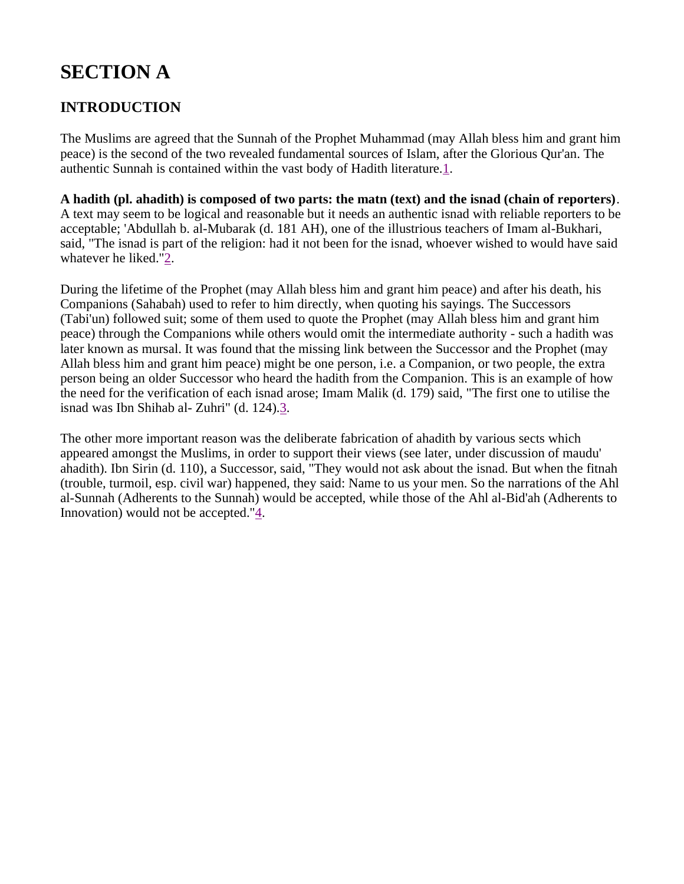## **SECTION A**

## **INTRODUCTION**

The Muslims are agreed that the Sunnah of the Prophet Muhammad (may Allah bless him and grant him peace) is the second of the two revealed fundamental sources of Islam, after the Glorious Qur'an. The authentic Sunnah is contained within the vast body of Hadith literature.1.

A hadith (pl. ahadith) is composed of two parts: the matn (text) and the isnad (chain of reporters). A text may seem to be logical and reasonable but it needs an authentic isnad with reliable reporters to be acceptable; 'Abdullah b. al-Mubarak (d. 181 AH), one of the illustrious teachers of Imam al-Bukhari, said, "The isnad is part of the religion: had it not been for the isnad, whoever wished to would have said whatever he liked."2.

During the lifetime of the Prophet (may Allah bless him and grant him peace) and after his death, his Companions (Sahabah) used to refer to him directly, when quoting his sayings. The Successors (Tabi'un) followed suit; some of them used to quote the Prophet (may Allah bless him and grant him peace) through the Companions while others would omit the intermediate authority - such a hadith was later known as mursal. It was found that the missing link between the Successor and the Prophet (may Allah bless him and grant him peace) might be one person, i.e. a Companion, or two people, the extra person being an older Successor who heard the hadith from the Companion. This is an example of how the need for the verification of each isnad arose; Imam Malik (d. 179) said, "The first one to utilise the isnad was Ibn Shihab al- Zuhri" (d. 124).3.

The other more important reason was the deliberate fabrication of ahadith by various sects which appeared amongst the Muslims, in order to support their views (see later, under discussion of maudu' ahadith). Ibn Sirin (d. 110), a Successor, said, "They would not ask about the isnad. But when the fitnah (trouble, turmoil, esp. civil war) happened, they said: Name to us your men. So the narrations of the Ahl al-Sunnah (Adherents to the Sunnah) would be accepted, while those of the Ahl al-Bid'ah (Adherents to Innovation) would not be accepted."4.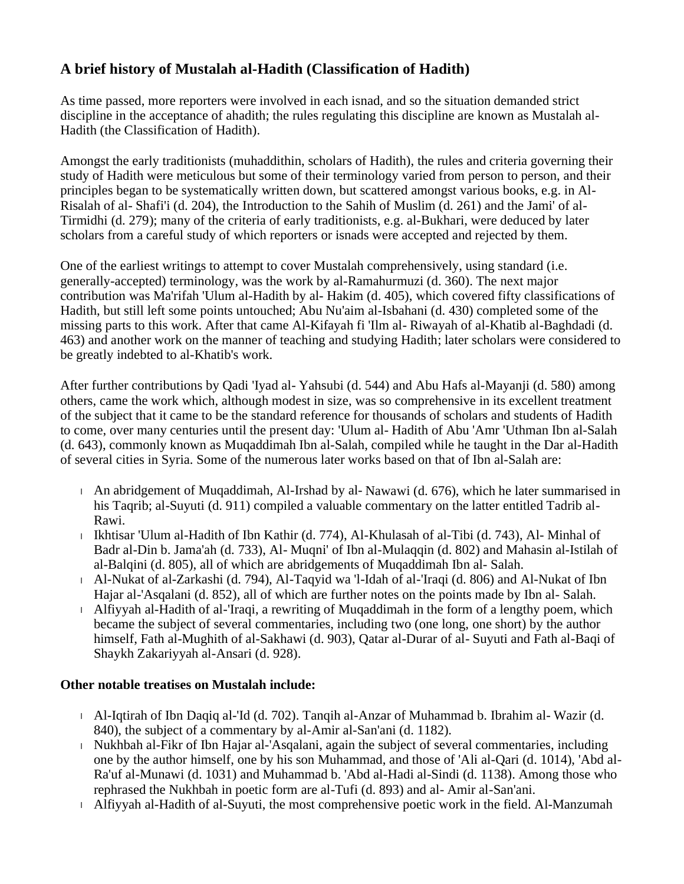## **A brief history of Mustalah al-Hadith (Classification of Hadith)**

As time passed, more reporters were involved in each isnad, and so the situation demanded strict discipline in the acceptance of ahadith; the rules regulating this discipline are known as Mustalah al-Hadith (the Classification of Hadith).

Amongst the early traditionists (muhaddithin, scholars of Hadith), the rules and criteria governing their study of Hadith were meticulous but some of their terminology varied from person to person, and their principles began to be systematically written down, but scattered amongst various books, e.g. in Al-Risalah of al- Shafi'i (d. 204), the Introduction to the Sahih of Muslim (d. 261) and the Jami' of al-Tirmidhi (d. 279); many of the criteria of early traditionists, e.g. al-Bukhari, were deduced by later scholars from a careful study of which reporters or isnads were accepted and rejected by them.

One of the earliest writings to attempt to cover Mustalah comprehensively, using standard (i.e. generally-accepted) terminology, was the work by al-Ramahurmuzi (d. 360). The next major contribution was Ma'rifah 'Ulum al-Hadith by al- Hakim (d. 405), which covered fifty classifications of Hadith, but still left some points untouched; Abu Nu'aim al-Isbahani (d. 430) completed some of the missing parts to this work. After that came Al-Kifayah fi 'Ilm al- Riwayah of al-Khatib al-Baghdadi (d. 463) and another work on the manner of teaching and studying Hadith; later scholars were considered to be greatly indebted to al-Khatib's work.

After further contributions by Qadi 'Iyad al- Yahsubi (d. 544) and Abu Hafs al-Mayanji (d. 580) among others, came the work which, although modest in size, was so comprehensive in its excellent treatment of the subject that it came to be the standard reference for thousands of scholars and students of Hadith to come, over many centuries until the present day: 'Ulum al- Hadith of Abu 'Amr 'Uthman Ibn al-Salah (d. 643), commonly known as Muqaddimah Ibn al-Salah, compiled while he taught in the Dar al-Hadith of several cities in Syria. Some of the numerous later works based on that of Ibn al-Salah are:

- <sup>l</sup> An abridgement of Muqaddimah, Al-Irshad by al- Nawawi (d. 676), which he later summarised in his Taqrib; al-Suyuti (d. 911) compiled a valuable commentary on the latter entitled Tadrib al-Rawi.
- <sup>l</sup> Ikhtisar 'Ulum al-Hadith of Ibn Kathir (d. 774), Al-Khulasah of al-Tibi (d. 743), Al- Minhal of Badr al-Din b. Jama'ah (d. 733), Al- Muqni' of Ibn al-Mulaqqin (d. 802) and Mahasin al-Istilah of al-Balqini (d. 805), all of which are abridgements of Muqaddimah Ibn al- Salah.
- <sup>l</sup> Al-Nukat of al-Zarkashi (d. 794), Al-Taqyid wa 'l-Idah of al-'Iraqi (d. 806) and Al-Nukat of Ibn Hajar al-'Asqalani (d. 852), all of which are further notes on the points made by Ibn al- Salah.
- <sup>l</sup> Alfiyyah al-Hadith of al-'Iraqi, a rewriting of Muqaddimah in the form of a lengthy poem, which became the subject of several commentaries, including two (one long, one short) by the author himself, Fath al-Mughith of al-Sakhawi (d. 903), Qatar al-Durar of al- Suyuti and Fath al-Baqi of Shaykh Zakariyyah al-Ansari (d. 928).

### **Other notable treatises on Mustalah include:**

- <sup>l</sup> Al-Iqtirah of Ibn Daqiq al-'Id (d. 702). Tanqih al-Anzar of Muhammad b. Ibrahim al- Wazir (d. 840), the subject of a commentary by al-Amir al-San'ani (d. 1182).
- <sup>l</sup> Nukhbah al-Fikr of Ibn Hajar al-'Asqalani, again the subject of several commentaries, including one by the author himself, one by his son Muhammad, and those of 'Ali al-Qari (d. 1014), 'Abd al-Ra'uf al-Munawi (d. 1031) and Muhammad b. 'Abd al-Hadi al-Sindi (d. 1138). Among those who rephrased the Nukhbah in poetic form are al-Tufi (d. 893) and al- Amir al-San'ani.
- <sup>l</sup> Alfiyyah al-Hadith of al-Suyuti, the most comprehensive poetic work in the field. Al-Manzumah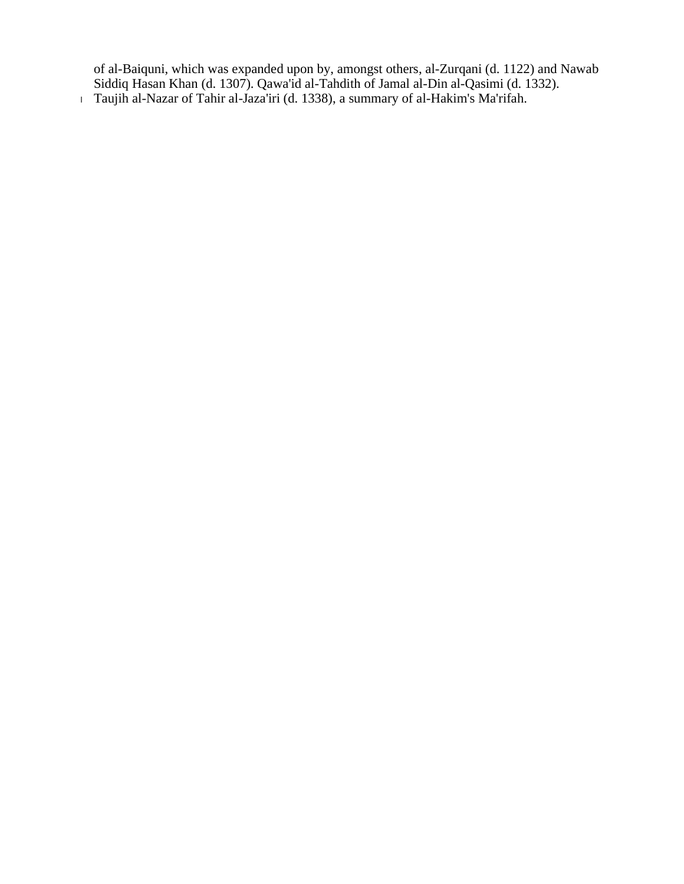of al-Baiquni, which was expanded upon by, amongst others, al-Zurqani (d. 1122) and Nawab Siddiq Hasan Khan (d. 1307). Qawa'id al-Tahdith of Jamal al-Din al-Qasimi (d. 1332).

<sup>l</sup> Taujih al-Nazar of Tahir al-Jaza'iri (d. 1338), a summary of al-Hakim's Ma'rifah.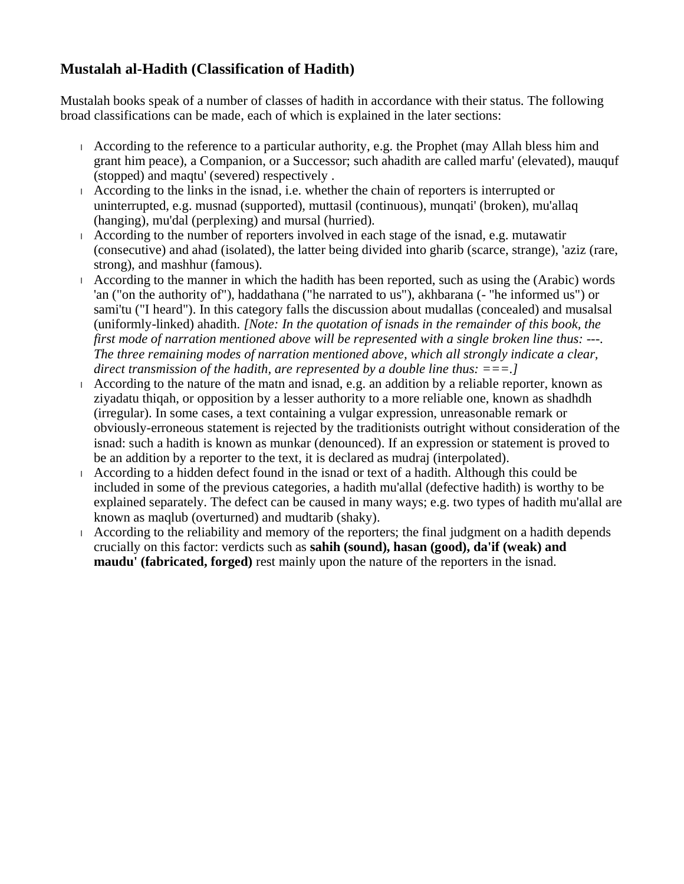## **Mustalah al-Hadith (Classification of Hadith)**

Mustalah books speak of a number of classes of hadith in accordance with their status. The following broad classifications can be made, each of which is explained in the later sections:

- <sup>l</sup> According to the reference to a particular authority, e.g. the Prophet (may Allah bless him and grant him peace), a Companion, or a Successor; such ahadith are called marfu' (elevated), mauquf (stopped) and maqtu' (severed) respectively .
- <sup>l</sup> According to the links in the isnad, i.e. whether the chain of reporters is interrupted or uninterrupted, e.g. musnad (supported), muttasil (continuous), munqati' (broken), mu'allaq (hanging), mu'dal (perplexing) and mursal (hurried).
- <sup>l</sup> According to the number of reporters involved in each stage of the isnad, e.g. mutawatir (consecutive) and ahad (isolated), the latter being divided into gharib (scarce, strange), 'aziz (rare, strong), and mashhur (famous).
- <sup>l</sup> According to the manner in which the hadith has been reported, such as using the (Arabic) words 'an ("on the authority of"), haddathana ("he narrated to us"), akhbarana (- "he informed us") or sami'tu ("I heard"). In this category falls the discussion about mudallas (concealed) and musalsal (uniformly-linked) ahadith. *[Note: In the quotation of isnads in the remainder of this book, the first mode of narration mentioned above will be represented with a single broken line thus: ---. The three remaining modes of narration mentioned above, which all strongly indicate a clear, direct transmission of the hadith, are represented by a double line thus: ===.]*
- I According to the nature of the matn and isnad, e.g. an addition by a reliable reporter, known as ziyadatu thiqah, or opposition by a lesser authority to a more reliable one, known as shadhdh (irregular). In some cases, a text containing a vulgar expression, unreasonable remark or obviously-erroneous statement is rejected by the traditionists outright without consideration of the isnad: such a hadith is known as munkar (denounced). If an expression or statement is proved to be an addition by a reporter to the text, it is declared as mudraj (interpolated).
- <sup>l</sup> According to a hidden defect found in the isnad or text of a hadith. Although this could be included in some of the previous categories, a hadith mu'allal (defective hadith) is worthy to be explained separately. The defect can be caused in many ways; e.g. two types of hadith mu'allal are known as maqlub (overturned) and mudtarib (shaky).
- <sup>l</sup> According to the reliability and memory of the reporters; the final judgment on a hadith depends crucially on this factor: verdicts such as **sahih (sound), hasan (good), da'if (weak) and maudu' (fabricated, forged)** rest mainly upon the nature of the reporters in the isnad.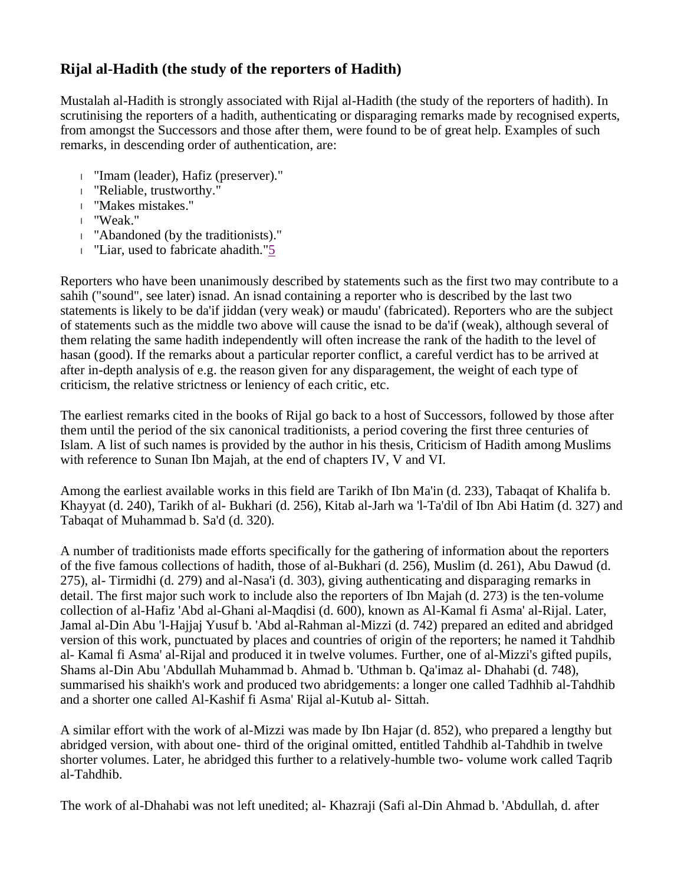## **Rijal al-Hadith (the study of the reporters of Hadith)**

Mustalah al-Hadith is strongly associated with Rijal al-Hadith (the study of the reporters of hadith). In scrutinising the reporters of a hadith, authenticating or disparaging remarks made by recognised experts, from amongst the Successors and those after them, were found to be of great help. Examples of such remarks, in descending order of authentication, are:

- <sup>l</sup> "Imam (leader), Hafiz (preserver)."
- <sup>l</sup> "Reliable, trustworthy."
- <sup>l</sup> "Makes mistakes."
- <sup>l</sup> "Weak."
- <sup>l</sup> "Abandoned (by the traditionists)."
- <sup>l</sup> "Liar, used to fabricate ahadith."5

Reporters who have been unanimously described by statements such as the first two may contribute to a sahih ("sound", see later) isnad. An isnad containing a reporter who is described by the last two statements is likely to be da'if jiddan (very weak) or maudu' (fabricated). Reporters who are the subject of statements such as the middle two above will cause the isnad to be da'if (weak), although several of them relating the same hadith independently will often increase the rank of the hadith to the level of hasan (good). If the remarks about a particular reporter conflict, a careful verdict has to be arrived at after in-depth analysis of e.g. the reason given for any disparagement, the weight of each type of criticism, the relative strictness or leniency of each critic, etc.

The earliest remarks cited in the books of Rijal go back to a host of Successors, followed by those after them until the period of the six canonical traditionists, a period covering the first three centuries of Islam. A list of such names is provided by the author in his thesis, Criticism of Hadith among Muslims with reference to Sunan Ibn Majah, at the end of chapters IV, V and VI.

Among the earliest available works in this field are Tarikh of Ibn Ma'in (d. 233), Tabaqat of Khalifa b. Khayyat (d. 240), Tarikh of al- Bukhari (d. 256), Kitab al-Jarh wa 'l-Ta'dil of Ibn Abi Hatim (d. 327) and Tabaqat of Muhammad b. Sa'd (d. 320).

A number of traditionists made efforts specifically for the gathering of information about the reporters of the five famous collections of hadith, those of al-Bukhari (d. 256), Muslim (d. 261), Abu Dawud (d. 275), al- Tirmidhi (d. 279) and al-Nasa'i (d. 303), giving authenticating and disparaging remarks in detail. The first major such work to include also the reporters of Ibn Majah (d. 273) is the ten-volume collection of al-Hafiz 'Abd al-Ghani al-Maqdisi (d. 600), known as Al-Kamal fi Asma' al-Rijal. Later, Jamal al-Din Abu 'l-Hajjaj Yusuf b. 'Abd al-Rahman al-Mizzi (d. 742) prepared an edited and abridged version of this work, punctuated by places and countries of origin of the reporters; he named it Tahdhib al- Kamal fi Asma' al-Rijal and produced it in twelve volumes. Further, one of al-Mizzi's gifted pupils, Shams al-Din Abu 'Abdullah Muhammad b. Ahmad b. 'Uthman b. Qa'imaz al- Dhahabi (d. 748), summarised his shaikh's work and produced two abridgements: a longer one called Tadhhib al-Tahdhib and a shorter one called Al-Kashif fi Asma' Rijal al-Kutub al- Sittah.

A similar effort with the work of al-Mizzi was made by Ibn Hajar (d. 852), who prepared a lengthy but abridged version, with about one- third of the original omitted, entitled Tahdhib al-Tahdhib in twelve shorter volumes. Later, he abridged this further to a relatively-humble two- volume work called Taqrib al-Tahdhib.

The work of al-Dhahabi was not left unedited; al- Khazraji (Safi al-Din Ahmad b. 'Abdullah, d. after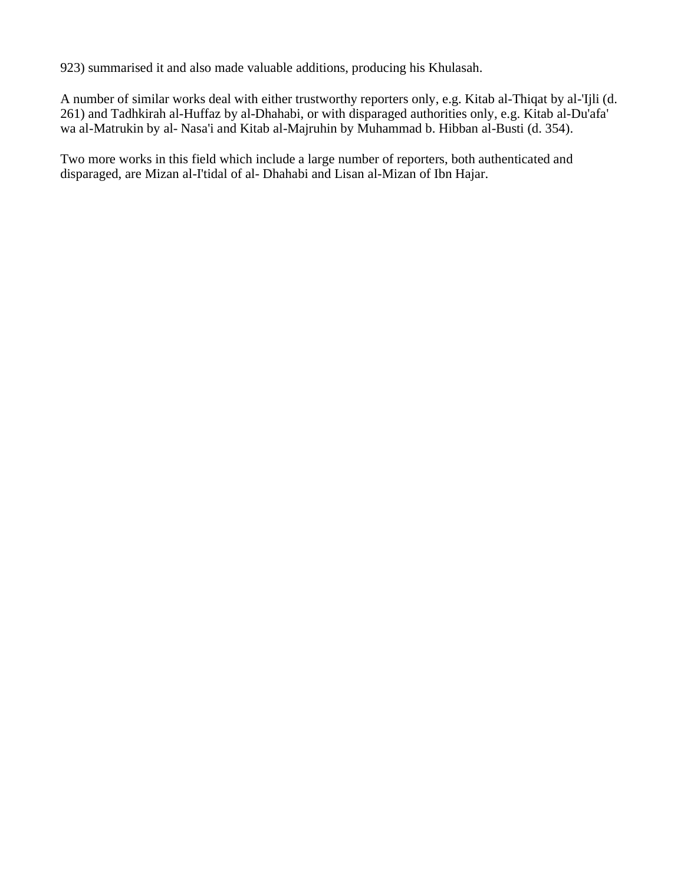923) summarised it and also made valuable additions, producing his Khulasah.

A number of similar works deal with either trustworthy reporters only, e.g. Kitab al-Thiqat by al-'Ijli (d. 261) and Tadhkirah al-Huffaz by al-Dhahabi, or with disparaged authorities only, e.g. Kitab al-Du'afa' wa al-Matrukin by al- Nasa'i and Kitab al-Majruhin by Muhammad b. Hibban al-Busti (d. 354).

Two more works in this field which include a large number of reporters, both authenticated and disparaged, are Mizan al-I'tidal of al- Dhahabi and Lisan al-Mizan of Ibn Hajar.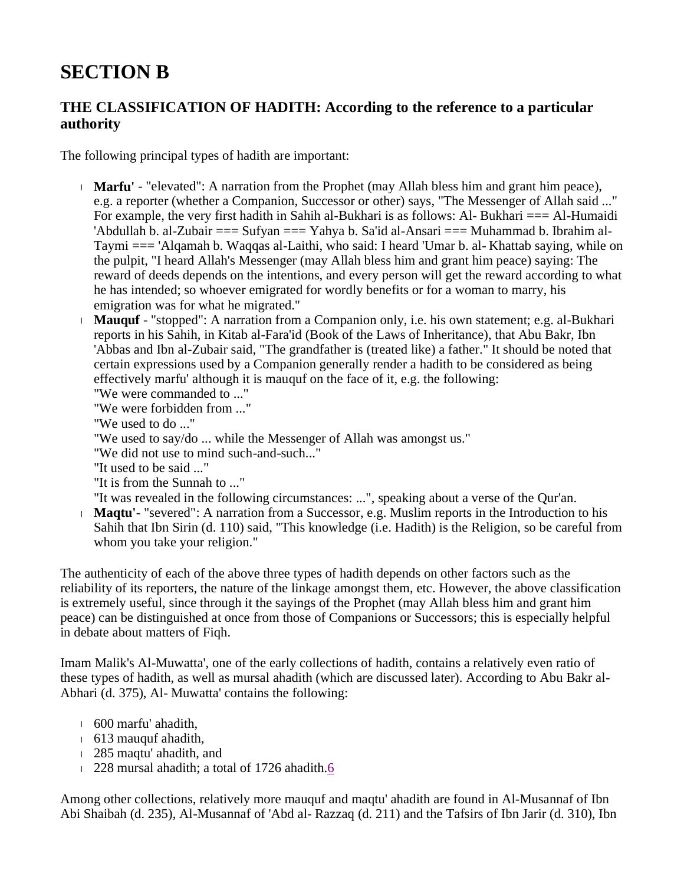## **SECTION B**

## **THE CLASSIFICATION OF HADITH: According to the reference to a particular authority**

The following principal types of hadith are important:

- <sup>l</sup> **Marfu'** "elevated": A narration from the Prophet (may Allah bless him and grant him peace), e.g. a reporter (whether a Companion, Successor or other) says, "The Messenger of Allah said ..." For example, the very first hadith in Sahih al-Bukhari is as follows: Al-Bukhari === Al-Humaidi 'Abdullah b. al-Zubair === Sufyan === Yahya b. Sa'id al-Ansari === Muhammad b. Ibrahim al-Taymi === 'Alqamah b. Waqqas al-Laithi, who said: I heard 'Umar b. al- Khattab saying, while on the pulpit, "I heard Allah's Messenger (may Allah bless him and grant him peace) saying: The reward of deeds depends on the intentions, and every person will get the reward according to what he has intended; so whoever emigrated for wordly benefits or for a woman to marry, his emigration was for what he migrated."
- <sup>l</sup> **Mauquf** "stopped": A narration from a Companion only, i.e. his own statement; e.g. al-Bukhari reports in his Sahih, in Kitab al-Fara'id (Book of the Laws of Inheritance), that Abu Bakr, Ibn 'Abbas and Ibn al-Zubair said, "The grandfather is (treated like) a father." It should be noted that certain expressions used by a Companion generally render a hadith to be considered as being effectively marfu' although it is mauquf on the face of it, e.g. the following:

"We were commanded to ..."

"We were forbidden from ..."

"We used to do ..."

"We used to say/do ... while the Messenger of Allah was amongst us."

"We did not use to mind such-and-such..."

"It used to be said ..."

"It is from the Sunnah to ..."

"It was revealed in the following circumstances: ...", speaking about a verse of the Qur'an.

<sup>l</sup> **Maqtu'**- "severed": A narration from a Successor, e.g. Muslim reports in the Introduction to his Sahih that Ibn Sirin (d. 110) said, "This knowledge (i.e. Hadith) is the Religion, so be careful from whom you take your religion."

The authenticity of each of the above three types of hadith depends on other factors such as the reliability of its reporters, the nature of the linkage amongst them, etc. However, the above classification is extremely useful, since through it the sayings of the Prophet (may Allah bless him and grant him peace) can be distinguished at once from those of Companions or Successors; this is especially helpful in debate about matters of Fiqh.

Imam Malik's Al-Muwatta', one of the early collections of hadith, contains a relatively even ratio of these types of hadith, as well as mursal ahadith (which are discussed later). According to Abu Bakr al-Abhari (d. 375), Al- Muwatta' contains the following:

- <sup>l</sup> 600 marfu' ahadith,
- <sup>l</sup> 613 mauquf ahadith,
- <sup>l</sup> 285 maqtu' ahadith, and
- <sup>l</sup> 228 mursal ahadith; a total of 1726 ahadith.6

Among other collections, relatively more mauquf and maqtu' ahadith are found in Al-Musannaf of Ibn Abi Shaibah (d. 235), Al-Musannaf of 'Abd al- Razzaq (d. 211) and the Tafsirs of Ibn Jarir (d. 310), Ibn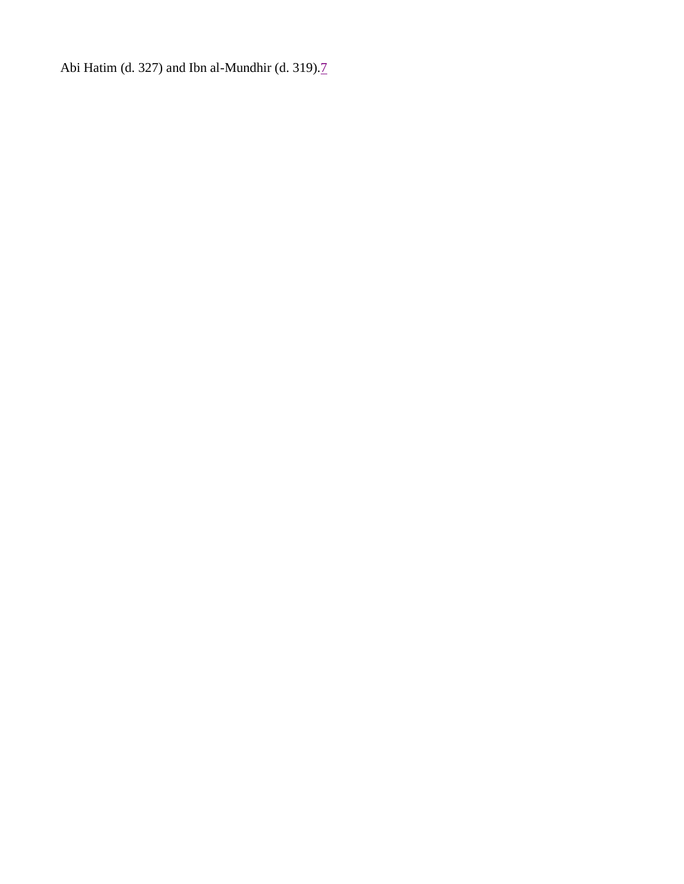Abi Hatim (d. 327) and Ibn al-Mundhir (d. 319).7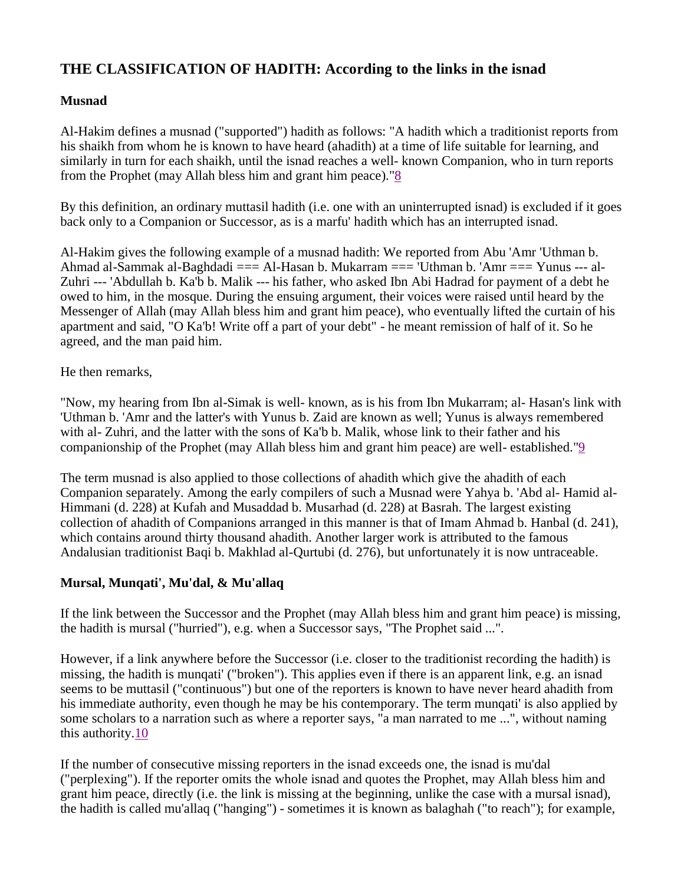## **THE CLASSIFICATION OF HADITH: According to the links in the isnad**

### **Musnad**

Al-Hakim defines a musnad ("supported") hadith as follows: "A hadith which a traditionist reports from his shaikh from whom he is known to have heard (ahadith) at a time of life suitable for learning, and similarly in turn for each shaikh, until the isnad reaches a well- known Companion, who in turn reports from the Prophet (may Allah bless him and grant him peace)."8

By this definition, an ordinary muttasil hadith (i.e. one with an uninterrupted isnad) is excluded if it goes back only to a Companion or Successor, as is a marfu' hadith which has an interrupted isnad.

Al-Hakim gives the following example of a musnad hadith: We reported from Abu 'Amr 'Uthman b. Ahmad al-Sammak al-Baghdadi === Al-Hasan b. Mukarram === 'Uthman b. 'Amr === Yunus --- al-Zuhri --- 'Abdullah b. Ka'b b. Malik --- his father, who asked Ibn Abi Hadrad for payment of a debt he owed to him, in the mosque. During the ensuing argument, their voices were raised until heard by the Messenger of Allah (may Allah bless him and grant him peace), who eventually lifted the curtain of his apartment and said, "O Ka'b! Write off a part of your debt" - he meant remission of half of it. So he agreed, and the man paid him.

He then remarks,

"Now, my hearing from Ibn al-Simak is well- known, as is his from Ibn Mukarram; al- Hasan's link with 'Uthman b. 'Amr and the latter's with Yunus b. Zaid are known as well; Yunus is always remembered with al- Zuhri, and the latter with the sons of Ka'b b. Malik, whose link to their father and his companionship of the Prophet (may Allah bless him and grant him peace) are well- established."9

The term musnad is also applied to those collections of ahadith which give the ahadith of each Companion separately. Among the early compilers of such a Musnad were Yahya b. 'Abd al- Hamid al-Himmani (d. 228) at Kufah and Musaddad b. Musarhad (d. 228) at Basrah. The largest existing collection of ahadith of Companions arranged in this manner is that of Imam Ahmad b. Hanbal (d. 241), which contains around thirty thousand ahadith. Another larger work is attributed to the famous Andalusian traditionist Baqi b. Makhlad al-Qurtubi (d. 276), but unfortunately it is now untraceable.

### **Mursal, Munqati', Mu'dal, & Mu'allaq**

If the link between the Successor and the Prophet (may Allah bless him and grant him peace) is missing, the hadith is mursal ("hurried"), e.g. when a Successor says, "The Prophet said ...".

However, if a link anywhere before the Successor (i.e. closer to the traditionist recording the hadith) is missing, the hadith is munqati' ("broken"). This applies even if there is an apparent link, e.g. an isnad seems to be muttasil ("continuous") but one of the reporters is known to have never heard ahadith from his immediate authority, even though he may be his contemporary. The term munqati' is also applied by some scholars to a narration such as where a reporter says, "a man narrated to me ...", without naming this authority.10

If the number of consecutive missing reporters in the isnad exceeds one, the isnad is mu'dal ("perplexing"). If the reporter omits the whole isnad and quotes the Prophet, may Allah bless him and grant him peace, directly (i.e. the link is missing at the beginning, unlike the case with a mursal isnad), the hadith is called mu'allaq ("hanging") - sometimes it is known as balaghah ("to reach"); for example,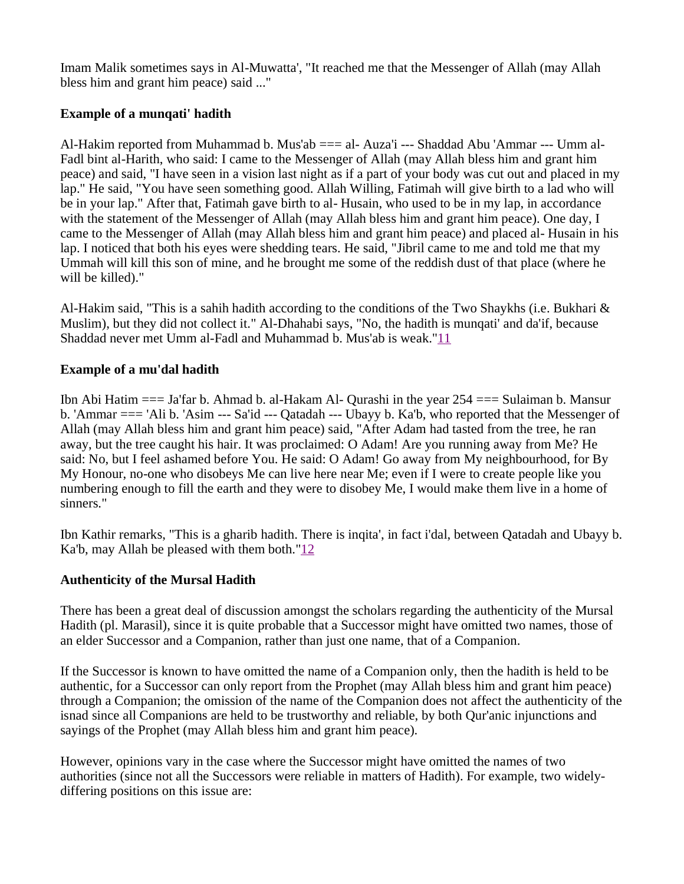Imam Malik sometimes says in Al-Muwatta', "It reached me that the Messenger of Allah (may Allah bless him and grant him peace) said ..."

### **Example of a munqati' hadith**

Al-Hakim reported from Muhammad b. Mus'ab === al- Auza'i --- Shaddad Abu 'Ammar --- Umm al-Fadl bint al-Harith, who said: I came to the Messenger of Allah (may Allah bless him and grant him peace) and said, "I have seen in a vision last night as if a part of your body was cut out and placed in my lap." He said, "You have seen something good. Allah Willing, Fatimah will give birth to a lad who will be in your lap." After that, Fatimah gave birth to al- Husain, who used to be in my lap, in accordance with the statement of the Messenger of Allah (may Allah bless him and grant him peace). One day, I came to the Messenger of Allah (may Allah bless him and grant him peace) and placed al- Husain in his lap. I noticed that both his eyes were shedding tears. He said, "Jibril came to me and told me that my Ummah will kill this son of mine, and he brought me some of the reddish dust of that place (where he will be killed)."

Al-Hakim said, "This is a sahih hadith according to the conditions of the Two Shaykhs (i.e. Bukhari & Muslim), but they did not collect it." Al-Dhahabi says, "No, the hadith is munqati' and da'if, because Shaddad never met Umm al-Fadl and Muhammad b. Mus'ab is weak."11

### **Example of a mu'dal hadith**

Ibn Abi Hatim === Ja'far b. Ahmad b. al-Hakam Al- Qurashi in the year 254 === Sulaiman b. Mansur b. 'Ammar === 'Ali b. 'Asim --- Sa'id --- Qatadah --- Ubayy b. Ka'b, who reported that the Messenger of Allah (may Allah bless him and grant him peace) said, "After Adam had tasted from the tree, he ran away, but the tree caught his hair. It was proclaimed: O Adam! Are you running away from Me? He said: No, but I feel ashamed before You. He said: O Adam! Go away from My neighbourhood, for By My Honour, no-one who disobeys Me can live here near Me; even if I were to create people like you numbering enough to fill the earth and they were to disobey Me, I would make them live in a home of sinners."

Ibn Kathir remarks, "This is a gharib hadith. There is inqita', in fact i'dal, between Qatadah and Ubayy b. Ka'b, may Allah be pleased with them both." $\frac{12}{2}$ 

### **Authenticity of the Mursal Hadith**

There has been a great deal of discussion amongst the scholars regarding the authenticity of the Mursal Hadith (pl. Marasil), since it is quite probable that a Successor might have omitted two names, those of an elder Successor and a Companion, rather than just one name, that of a Companion.

If the Successor is known to have omitted the name of a Companion only, then the hadith is held to be authentic, for a Successor can only report from the Prophet (may Allah bless him and grant him peace) through a Companion; the omission of the name of the Companion does not affect the authenticity of the isnad since all Companions are held to be trustworthy and reliable, by both Qur'anic injunctions and sayings of the Prophet (may Allah bless him and grant him peace).

However, opinions vary in the case where the Successor might have omitted the names of two authorities (since not all the Successors were reliable in matters of Hadith). For example, two widelydiffering positions on this issue are: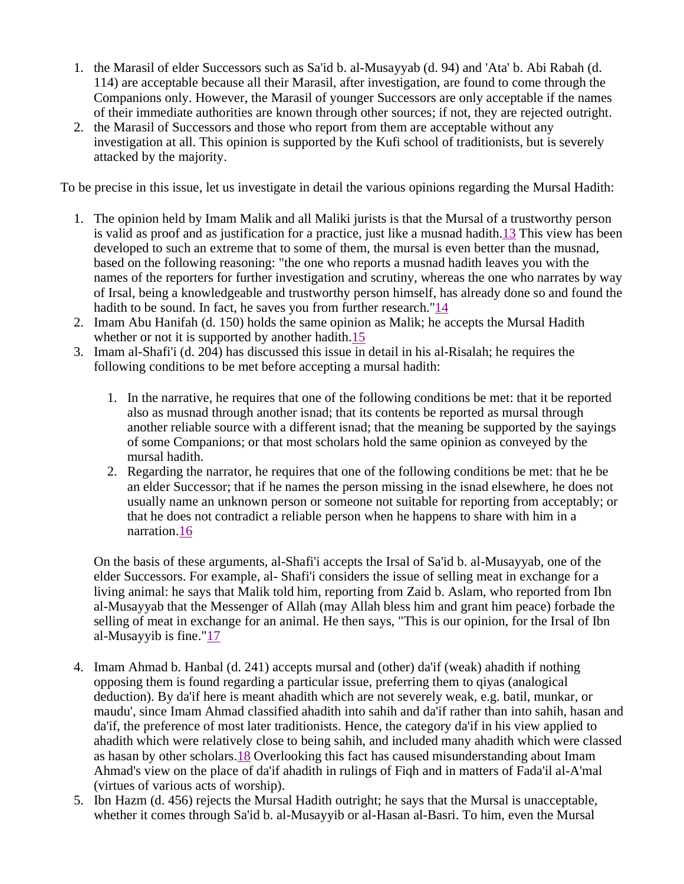- 1. the Marasil of elder Successors such as Sa'id b. al-Musayyab (d. 94) and 'Ata' b. Abi Rabah (d. 114) are acceptable because all their Marasil, after investigation, are found to come through the Companions only. However, the Marasil of younger Successors are only acceptable if the names of their immediate authorities are known through other sources; if not, they are rejected outright.
- 2. the Marasil of Successors and those who report from them are acceptable without any investigation at all. This opinion is supported by the Kufi school of traditionists, but is severely attacked by the majority.

To be precise in this issue, let us investigate in detail the various opinions regarding the Mursal Hadith:

- 1. The opinion held by Imam Malik and all Maliki jurists is that the Mursal of a trustworthy person is valid as proof and as justification for a practice, just like a musnad hadith.13 This view has been developed to such an extreme that to some of them, the mursal is even better than the musnad, based on the following reasoning: "the one who reports a musnad hadith leaves you with the names of the reporters for further investigation and scrutiny, whereas the one who narrates by way of Irsal, being a knowledgeable and trustworthy person himself, has already done so and found the hadith to be sound. In fact, he saves you from further research."14
- 2. Imam Abu Hanifah (d. 150) holds the same opinion as Malik; he accepts the Mursal Hadith whether or not it is supported by another hadith.<sup>15</sup>
- 3. Imam al-Shafi'i (d. 204) has discussed this issue in detail in his al-Risalah; he requires the following conditions to be met before accepting a mursal hadith:
	- 1. In the narrative, he requires that one of the following conditions be met: that it be reported also as musnad through another isnad; that its contents be reported as mursal through another reliable source with a different isnad; that the meaning be supported by the sayings of some Companions; or that most scholars hold the same opinion as conveyed by the mursal hadith.
	- 2. Regarding the narrator, he requires that one of the following conditions be met: that he be an elder Successor; that if he names the person missing in the isnad elsewhere, he does not usually name an unknown person or someone not suitable for reporting from acceptably; or that he does not contradict a reliable person when he happens to share with him in a narration.16

On the basis of these arguments, al-Shafi'i accepts the Irsal of Sa'id b. al-Musayyab, one of the elder Successors. For example, al- Shafi'i considers the issue of selling meat in exchange for a living animal: he says that Malik told him, reporting from Zaid b. Aslam, who reported from Ibn al-Musayyab that the Messenger of Allah (may Allah bless him and grant him peace) forbade the selling of meat in exchange for an animal. He then says, "This is our opinion, for the Irsal of Ibn al-Musayyib is fine."17

- 4. Imam Ahmad b. Hanbal (d. 241) accepts mursal and (other) da'if (weak) ahadith if nothing opposing them is found regarding a particular issue, preferring them to qiyas (analogical deduction). By da'if here is meant ahadith which are not severely weak, e.g. batil, munkar, or maudu', since Imam Ahmad classified ahadith into sahih and da'if rather than into sahih, hasan and da'if, the preference of most later traditionists. Hence, the category da'if in his view applied to ahadith which were relatively close to being sahih, and included many ahadith which were classed as hasan by other scholars.18 Overlooking this fact has caused misunderstanding about Imam Ahmad's view on the place of da'if ahadith in rulings of Fiqh and in matters of Fada'il al-A'mal (virtues of various acts of worship).
- 5. Ibn Hazm (d. 456) rejects the Mursal Hadith outright; he says that the Mursal is unacceptable, whether it comes through Sa'id b. al-Musayyib or al-Hasan al-Basri. To him, even the Mursal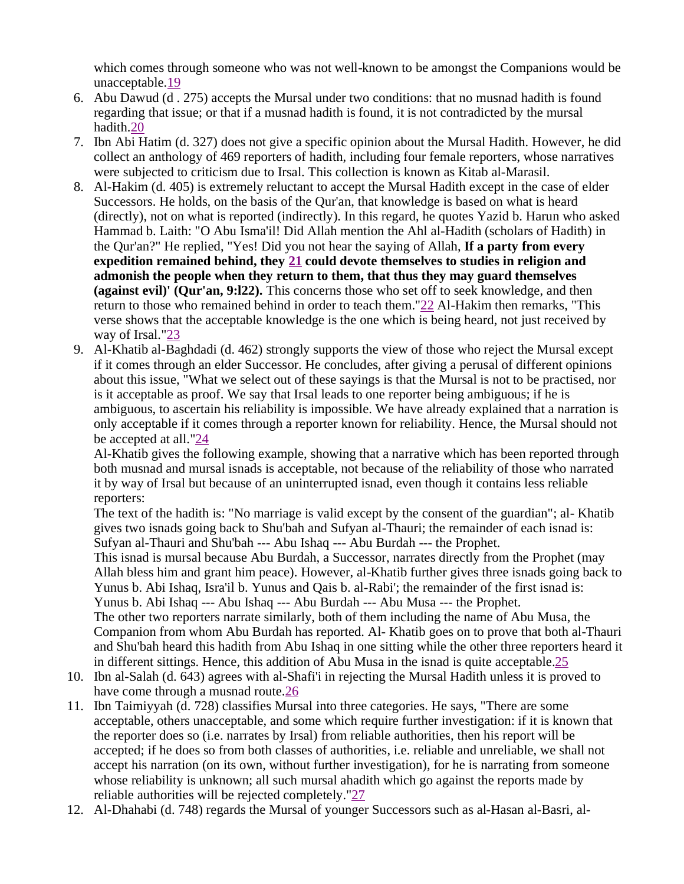which comes through someone who was not well-known to be amongst the Companions would be unacceptable.19

- 6. Abu Dawud (d . 275) accepts the Mursal under two conditions: that no musnad hadith is found regarding that issue; or that if a musnad hadith is found, it is not contradicted by the mursal hadith.20
- 7. Ibn Abi Hatim (d. 327) does not give a specific opinion about the Mursal Hadith. However, he did collect an anthology of 469 reporters of hadith, including four female reporters, whose narratives were subjected to criticism due to Irsal. This collection is known as Kitab al-Marasil.
- 8. Al-Hakim (d. 405) is extremely reluctant to accept the Mursal Hadith except in the case of elder Successors. He holds, on the basis of the Qur'an, that knowledge is based on what is heard (directly), not on what is reported (indirectly). In this regard, he quotes Yazid b. Harun who asked Hammad b. Laith: "O Abu Isma'il! Did Allah mention the Ahl al-Hadith (scholars of Hadith) in the Qur'an?" He replied, "Yes! Did you not hear the saying of Allah, **If a party from every expedition remained behind, they 21 could devote themselves to studies in religion and admonish the people when they return to them, that thus they may guard themselves (against evil)' (Qur'an, 9:l22).** This concerns those who set off to seek knowledge, and then return to those who remained behind in order to teach them."22 Al-Hakim then remarks, "This verse shows that the acceptable knowledge is the one which is being heard, not just received by way of Irsal."23
- 9. Al-Khatib al-Baghdadi (d. 462) strongly supports the view of those who reject the Mursal except if it comes through an elder Successor. He concludes, after giving a perusal of different opinions about this issue, "What we select out of these sayings is that the Mursal is not to be practised, nor is it acceptable as proof. We say that Irsal leads to one reporter being ambiguous; if he is ambiguous, to ascertain his reliability is impossible. We have already explained that a narration is only acceptable if it comes through a reporter known for reliability. Hence, the Mursal should not be accepted at all."24

Al-Khatib gives the following example, showing that a narrative which has been reported through both musnad and mursal isnads is acceptable, not because of the reliability of those who narrated it by way of Irsal but because of an uninterrupted isnad, even though it contains less reliable reporters:

The text of the hadith is: "No marriage is valid except by the consent of the guardian"; al- Khatib gives two isnads going back to Shu'bah and Sufyan al-Thauri; the remainder of each isnad is: Sufyan al-Thauri and Shu'bah --- Abu Ishaq --- Abu Burdah --- the Prophet.

This isnad is mursal because Abu Burdah, a Successor, narrates directly from the Prophet (may Allah bless him and grant him peace). However, al-Khatib further gives three isnads going back to Yunus b. Abi Ishaq, Isra'il b. Yunus and Qais b. al-Rabi'; the remainder of the first isnad is: Yunus b. Abi Ishaq --- Abu Ishaq --- Abu Burdah --- Abu Musa --- the Prophet.

The other two reporters narrate similarly, both of them including the name of Abu Musa, the Companion from whom Abu Burdah has reported. Al- Khatib goes on to prove that both al-Thauri and Shu'bah heard this hadith from Abu Ishaq in one sitting while the other three reporters heard it in different sittings. Hence, this addition of Abu Musa in the isnad is quite acceptable.25

- 10. Ibn al-Salah (d. 643) agrees with al-Shafi'i in rejecting the Mursal Hadith unless it is proved to have come through a musnad route.26
- 11. Ibn Taimiyyah (d. 728) classifies Mursal into three categories. He says, "There are some acceptable, others unacceptable, and some which require further investigation: if it is known that the reporter does so (i.e. narrates by Irsal) from reliable authorities, then his report will be accepted; if he does so from both classes of authorities, i.e. reliable and unreliable, we shall not accept his narration (on its own, without further investigation), for he is narrating from someone whose reliability is unknown; all such mursal ahadith which go against the reports made by reliable authorities will be rejected completely."27
- 12. Al-Dhahabi (d. 748) regards the Mursal of younger Successors such as al-Hasan al-Basri, al-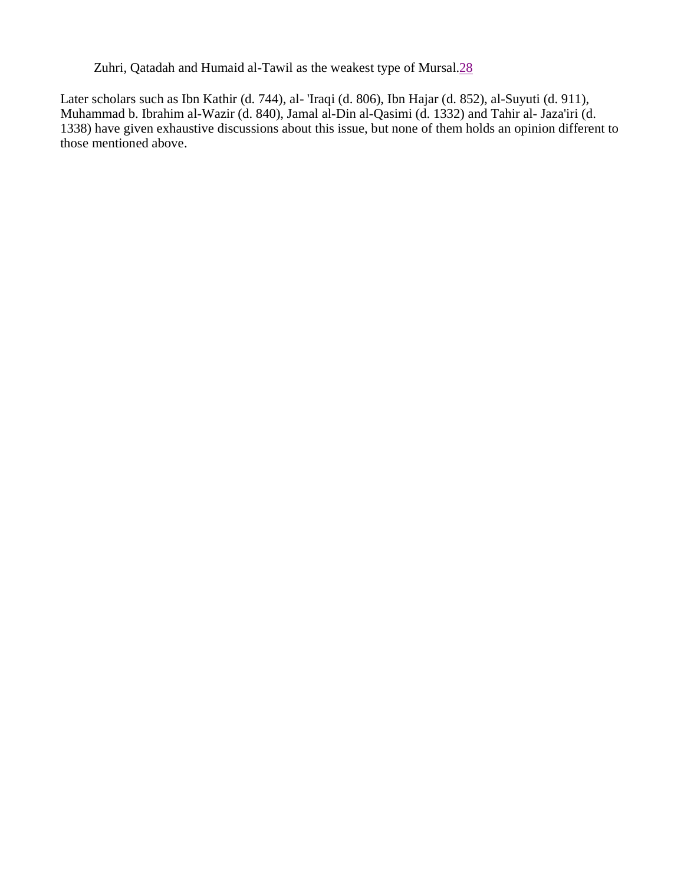Zuhri, Qatadah and Humaid al-Tawil as the weakest type of Mursal.28

Later scholars such as Ibn Kathir (d. 744), al- 'Iraqi (d. 806), Ibn Hajar (d. 852), al-Suyuti (d. 911), Muhammad b. Ibrahim al-Wazir (d. 840), Jamal al-Din al-Qasimi (d. 1332) and Tahir al- Jaza'iri (d. 1338) have given exhaustive discussions about this issue, but none of them holds an opinion different to those mentioned above.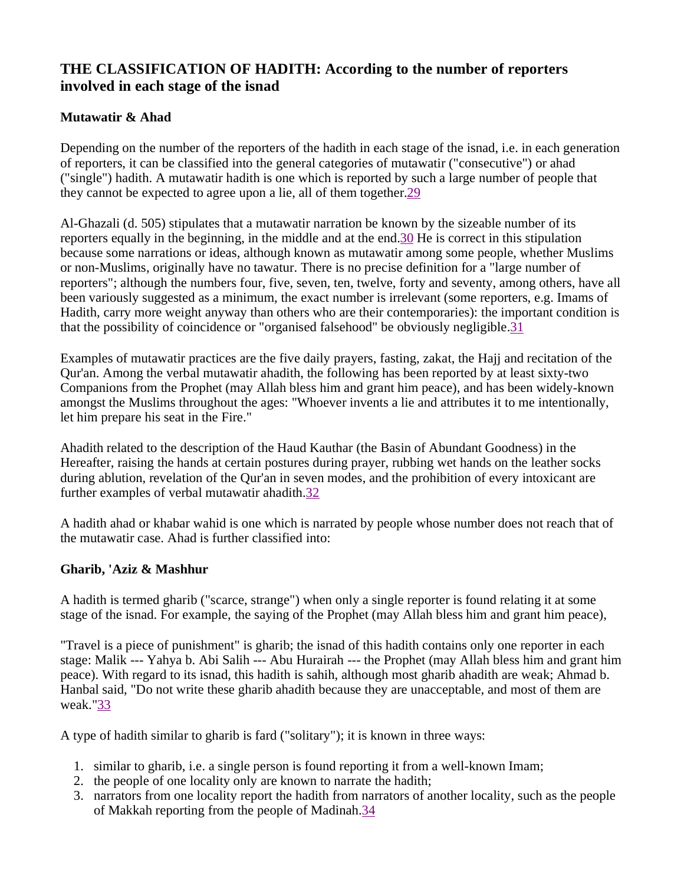## **THE CLASSIFICATION OF HADITH: According to the number of reporters involved in each stage of the isnad**

### **Mutawatir & Ahad**

Depending on the number of the reporters of the hadith in each stage of the isnad, i.e. in each generation of reporters, it can be classified into the general categories of mutawatir ("consecutive") or ahad ("single") hadith. A mutawatir hadith is one which is reported by such a large number of people that they cannot be expected to agree upon a lie, all of them together.29

Al-Ghazali (d. 505) stipulates that a mutawatir narration be known by the sizeable number of its reporters equally in the beginning, in the middle and at the end.30 He is correct in this stipulation because some narrations or ideas, although known as mutawatir among some people, whether Muslims or non-Muslims, originally have no tawatur. There is no precise definition for a "large number of reporters"; although the numbers four, five, seven, ten, twelve, forty and seventy, among others, have all been variously suggested as a minimum, the exact number is irrelevant (some reporters, e.g. Imams of Hadith, carry more weight anyway than others who are their contemporaries): the important condition is that the possibility of coincidence or "organised falsehood" be obviously negligible.31

Examples of mutawatir practices are the five daily prayers, fasting, zakat, the Hajj and recitation of the Qur'an. Among the verbal mutawatir ahadith, the following has been reported by at least sixty-two Companions from the Prophet (may Allah bless him and grant him peace), and has been widely-known amongst the Muslims throughout the ages: "Whoever invents a lie and attributes it to me intentionally, let him prepare his seat in the Fire."

Ahadith related to the description of the Haud Kauthar (the Basin of Abundant Goodness) in the Hereafter, raising the hands at certain postures during prayer, rubbing wet hands on the leather socks during ablution, revelation of the Qur'an in seven modes, and the prohibition of every intoxicant are further examples of verbal mutawatir ahadith.32

A hadith ahad or khabar wahid is one which is narrated by people whose number does not reach that of the mutawatir case. Ahad is further classified into:

### **Gharib, 'Aziz & Mashhur**

A hadith is termed gharib ("scarce, strange") when only a single reporter is found relating it at some stage of the isnad. For example, the saying of the Prophet (may Allah bless him and grant him peace),

"Travel is a piece of punishment" is gharib; the isnad of this hadith contains only one reporter in each stage: Malik --- Yahya b. Abi Salih --- Abu Hurairah --- the Prophet (may Allah bless him and grant him peace). With regard to its isnad, this hadith is sahih, although most gharib ahadith are weak; Ahmad b. Hanbal said, "Do not write these gharib ahadith because they are unacceptable, and most of them are weak."33

A type of hadith similar to gharib is fard ("solitary"); it is known in three ways:

- 1. similar to gharib, i.e. a single person is found reporting it from a well-known Imam;
- 2. the people of one locality only are known to narrate the hadith;
- 3. narrators from one locality report the hadith from narrators of another locality, such as the people of Makkah reporting from the people of Madinah.34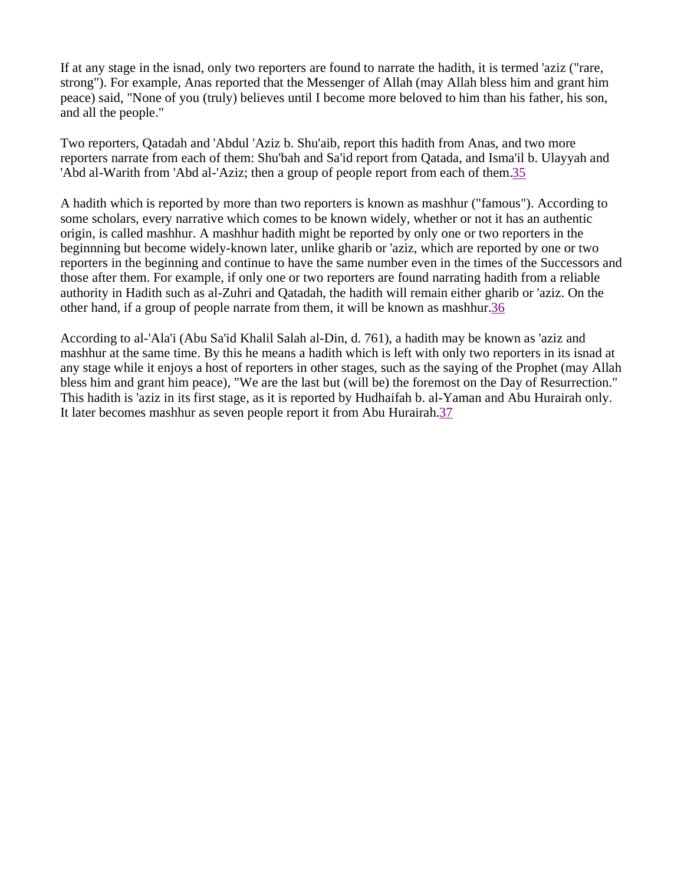If at any stage in the isnad, only two reporters are found to narrate the hadith, it is termed 'aziz ("rare, strong"). For example, Anas reported that the Messenger of Allah (may Allah bless him and grant him peace) said, "None of you (truly) believes until I become more beloved to him than his father, his son, and all the people."

Two reporters, Qatadah and 'Abdul 'Aziz b. Shu'aib, report this hadith from Anas, and two more reporters narrate from each of them: Shu'bah and Sa'id report from Qatada, and Isma'il b. Ulayyah and 'Abd al-Warith from 'Abd al-'Aziz; then a group of people report from each of them.35

A hadith which is reported by more than two reporters is known as mashhur ("famous"). According to some scholars, every narrative which comes to be known widely, whether or not it has an authentic origin, is called mashhur. A mashhur hadith might be reported by only one or two reporters in the beginnning but become widely-known later, unlike gharib or 'aziz, which are reported by one or two reporters in the beginning and continue to have the same number even in the times of the Successors and those after them. For example, if only one or two reporters are found narrating hadith from a reliable authority in Hadith such as al-Zuhri and Qatadah, the hadith will remain either gharib or 'aziz. On the other hand, if a group of people narrate from them, it will be known as mashhur.36

According to al-'Ala'i (Abu Sa'id Khalil Salah al-Din, d. 761), a hadith may be known as 'aziz and mashhur at the same time. By this he means a hadith which is left with only two reporters in its isnad at any stage while it enjoys a host of reporters in other stages, such as the saying of the Prophet (may Allah bless him and grant him peace), "We are the last but (will be) the foremost on the Day of Resurrection." This hadith is 'aziz in its first stage, as it is reported by Hudhaifah b. al-Yaman and Abu Hurairah only. It later becomes mashhur as seven people report it from Abu Hurairah.37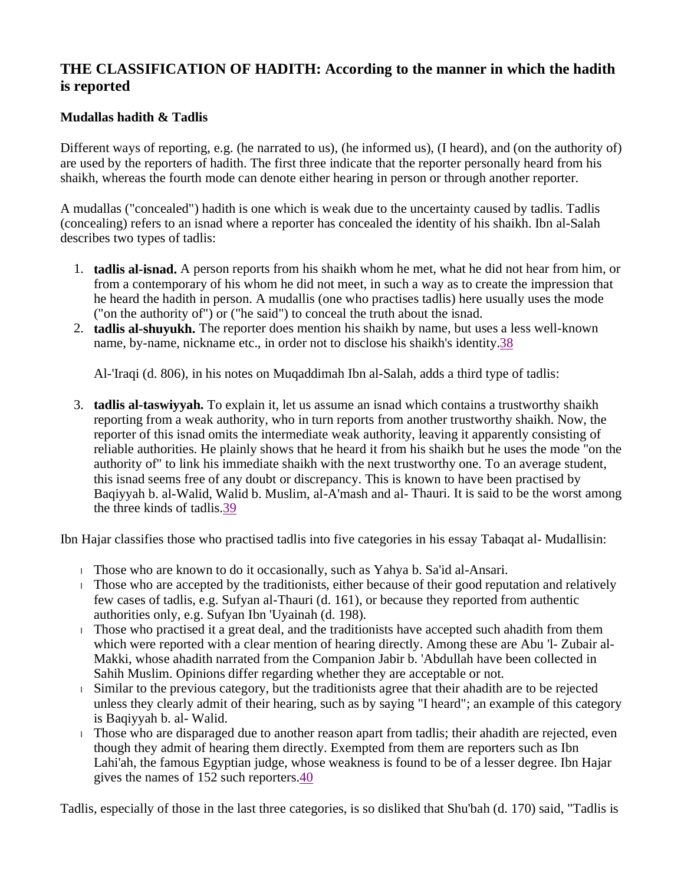## **THE CLASSIFICATION OF HADITH: According to the manner in which the hadith is reported**

### **Mudallas hadith & Tadlis**

Different ways of reporting, e.g. (he narrated to us), (he informed us), (I heard), and (on the authority of) are used by the reporters of hadith. The first three indicate that the reporter personally heard from his shaikh, whereas the fourth mode can denote either hearing in person or through another reporter.

A mudallas ("concealed") hadith is one which is weak due to the uncertainty caused by tadlis. Tadlis (concealing) refers to an isnad where a reporter has concealed the identity of his shaikh. Ibn al-Salah describes two types of tadlis:

- 1. **tadlis al-isnad.** A person reports from his shaikh whom he met, what he did not hear from him, or from a contemporary of his whom he did not meet, in such a way as to create the impression that he heard the hadith in person. A mudallis (one who practises tadlis) here usually uses the mode ("on the authority of") or ("he said") to conceal the truth about the isnad.
- 2. **tadlis al-shuyukh.** The reporter does mention his shaikh by name, but uses a less well-known name, by-name, nickname etc., in order not to disclose his shaikh's identity.38

Al-'Iraqi (d. 806), in his notes on Muqaddimah Ibn al-Salah, adds a third type of tadlis:

3. **tadlis al-taswiyyah.** To explain it, let us assume an isnad which contains a trustworthy shaikh reporting from a weak authority, who in turn reports from another trustworthy shaikh. Now, the reporter of this isnad omits the intermediate weak authority, leaving it apparently consisting of reliable authorities. He plainly shows that he heard it from his shaikh but he uses the mode "on the authority of" to link his immediate shaikh with the next trustworthy one. To an average student, this isnad seems free of any doubt or discrepancy. This is known to have been practised by Baqiyyah b. al-Walid, Walid b. Muslim, al-A'mash and al- Thauri. It is said to be the worst among the three kinds of tadlis.39

Ibn Hajar classifies those who practised tadlis into five categories in his essay Tabaqat al- Mudallisin:

- <sup>l</sup> Those who are known to do it occasionally, such as Yahya b. Sa'id al-Ansari.
- <sup>l</sup> Those who are accepted by the traditionists, either because of their good reputation and relatively few cases of tadlis, e.g. Sufyan al-Thauri (d. 161), or because they reported from authentic authorities only, e.g. Sufyan Ibn 'Uyainah (d. 198).
- <sup>l</sup> Those who practised it a great deal, and the traditionists have accepted such ahadith from them which were reported with a clear mention of hearing directly. Among these are Abu 'l- Zubair al-Makki, whose ahadith narrated from the Companion Jabir b. 'Abdullah have been collected in Sahih Muslim. Opinions differ regarding whether they are acceptable or not.
- <sup>l</sup> Similar to the previous category, but the traditionists agree that their ahadith are to be rejected unless they clearly admit of their hearing, such as by saying "I heard"; an example of this category is Baqiyyah b. al- Walid.
- <sup>l</sup> Those who are disparaged due to another reason apart from tadlis; their ahadith are rejected, even though they admit of hearing them directly. Exempted from them are reporters such as Ibn Lahi'ah, the famous Egyptian judge, whose weakness is found to be of a lesser degree. Ibn Hajar gives the names of 152 such reporters.40

Tadlis, especially of those in the last three categories, is so disliked that Shu'bah (d. 170) said, "Tadlis is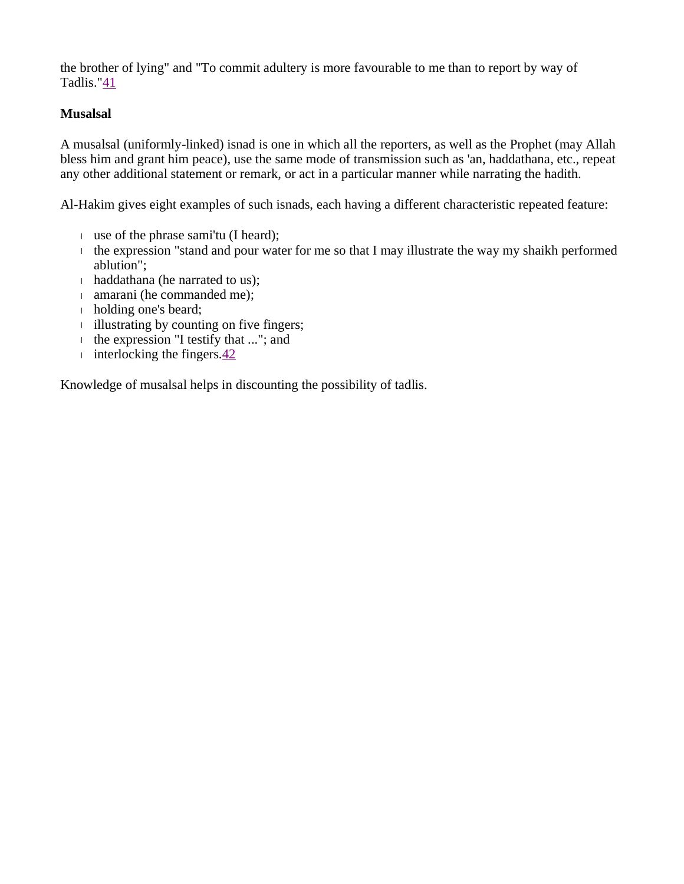the brother of lying" and "To commit adultery is more favourable to me than to report by way of Tadlis."41

### **Musalsal**

A musalsal (uniformly-linked) isnad is one in which all the reporters, as well as the Prophet (may Allah bless him and grant him peace), use the same mode of transmission such as 'an, haddathana, etc., repeat any other additional statement or remark, or act in a particular manner while narrating the hadith.

Al-Hakim gives eight examples of such isnads, each having a different characteristic repeated feature:

- <sup>l</sup> use of the phrase sami'tu (I heard);
- $\mu$  the expression "stand and pour water for me so that I may illustrate the way my shaikh performed ablution";
- <sup>l</sup> haddathana (he narrated to us);
- <sup>l</sup> amarani (he commanded me);
- <sup>l</sup> holding one's beard;
- <sup>l</sup> illustrating by counting on five fingers;
- <sup>l</sup> the expression "I testify that ..."; and
- i interlocking the fingers. $\frac{42}{3}$

Knowledge of musalsal helps in discounting the possibility of tadlis.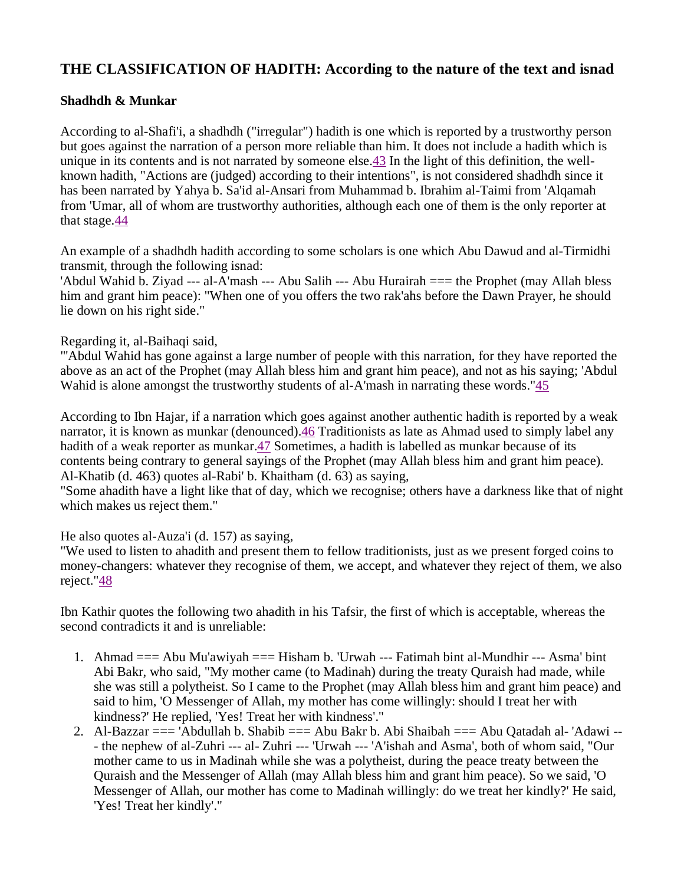### **THE CLASSIFICATION OF HADITH: According to the nature of the text and isnad**

#### **Shadhdh & Munkar**

According to al-Shafi'i, a shadhdh ("irregular") hadith is one which is reported by a trustworthy person but goes against the narration of a person more reliable than him. It does not include a hadith which is unique in its contents and is not narrated by someone else.43 In the light of this definition, the wellknown hadith, "Actions are (judged) according to their intentions", is not considered shadhdh since it has been narrated by Yahya b. Sa'id al-Ansari from Muhammad b. Ibrahim al-Taimi from 'Alqamah from 'Umar, all of whom are trustworthy authorities, although each one of them is the only reporter at that stage.44

An example of a shadhdh hadith according to some scholars is one which Abu Dawud and al-Tirmidhi transmit, through the following isnad:

'Abdul Wahid b. Ziyad --- al-A'mash --- Abu Salih --- Abu Hurairah === the Prophet (may Allah bless him and grant him peace): "When one of you offers the two rak'ahs before the Dawn Prayer, he should lie down on his right side."

Regarding it, al-Baihaqi said,

"'Abdul Wahid has gone against a large number of people with this narration, for they have reported the above as an act of the Prophet (may Allah bless him and grant him peace), and not as his saying; 'Abdul Wahid is alone amongst the trustworthy students of al-A'mash in narrating these words."45

According to Ibn Hajar, if a narration which goes against another authentic hadith is reported by a weak narrator, it is known as munkar (denounced).46 Traditionists as late as Ahmad used to simply label any hadith of a weak reporter as munkar. 47 Sometimes, a hadith is labelled as munkar because of its contents being contrary to general sayings of the Prophet (may Allah bless him and grant him peace). Al-Khatib (d. 463) quotes al-Rabi' b. Khaitham (d. 63) as saying,

"Some ahadith have a light like that of day, which we recognise; others have a darkness like that of night which makes us reject them."

He also quotes al-Auza'i (d. 157) as saying,

"We used to listen to ahadith and present them to fellow traditionists, just as we present forged coins to money-changers: whatever they recognise of them, we accept, and whatever they reject of them, we also reject."48

Ibn Kathir quotes the following two ahadith in his Tafsir, the first of which is acceptable, whereas the second contradicts it and is unreliable:

- 1. Ahmad === Abu Mu'awiyah === Hisham b. 'Urwah --- Fatimah bint al-Mundhir --- Asma' bint Abi Bakr, who said, "My mother came (to Madinah) during the treaty Quraish had made, while she was still a polytheist. So I came to the Prophet (may Allah bless him and grant him peace) and said to him, 'O Messenger of Allah, my mother has come willingly: should I treat her with kindness?' He replied, 'Yes! Treat her with kindness'."
- 2. Al-Bazzar === 'Abdullah b. Shabib === Abu Bakr b. Abi Shaibah === Abu Qatadah al- 'Adawi -- - the nephew of al-Zuhri --- al- Zuhri --- 'Urwah --- 'A'ishah and Asma', both of whom said, "Our mother came to us in Madinah while she was a polytheist, during the peace treaty between the Quraish and the Messenger of Allah (may Allah bless him and grant him peace). So we said, 'O Messenger of Allah, our mother has come to Madinah willingly: do we treat her kindly?' He said, 'Yes! Treat her kindly'."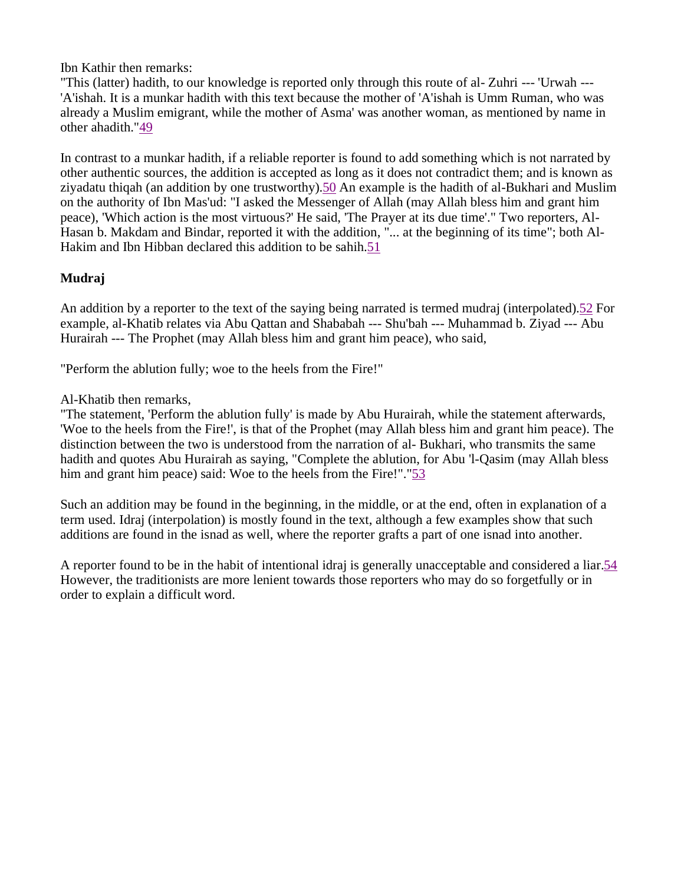Ibn Kathir then remarks:

"This (latter) hadith, to our knowledge is reported only through this route of al- Zuhri --- 'Urwah --- 'A'ishah. It is a munkar hadith with this text because the mother of 'A'ishah is Umm Ruman, who was already a Muslim emigrant, while the mother of Asma' was another woman, as mentioned by name in other ahadith."49

In contrast to a munkar hadith, if a reliable reporter is found to add something which is not narrated by other authentic sources, the addition is accepted as long as it does not contradict them; and is known as ziyadatu thiqah (an addition by one trustworthy).50 An example is the hadith of al-Bukhari and Muslim on the authority of Ibn Mas'ud: "I asked the Messenger of Allah (may Allah bless him and grant him peace), 'Which action is the most virtuous?' He said, 'The Prayer at its due time'." Two reporters, Al-Hasan b. Makdam and Bindar, reported it with the addition, "... at the beginning of its time"; both Al-Hakim and Ibn Hibban declared this addition to be sahih.51

### **Mudraj**

An addition by a reporter to the text of the saying being narrated is termed mudraj (interpolated).52 For example, al-Khatib relates via Abu Qattan and Shababah --- Shu'bah --- Muhammad b. Ziyad --- Abu Hurairah --- The Prophet (may Allah bless him and grant him peace), who said,

"Perform the ablution fully; woe to the heels from the Fire!"

Al-Khatib then remarks,

"The statement, 'Perform the ablution fully' is made by Abu Hurairah, while the statement afterwards, 'Woe to the heels from the Fire!', is that of the Prophet (may Allah bless him and grant him peace). The distinction between the two is understood from the narration of al- Bukhari, who transmits the same hadith and quotes Abu Hurairah as saying, "Complete the ablution, for Abu 'l-Qasim (may Allah bless him and grant him peace) said: Woe to the heels from the Fire!"."53

Such an addition may be found in the beginning, in the middle, or at the end, often in explanation of a term used. Idraj (interpolation) is mostly found in the text, although a few examples show that such additions are found in the isnad as well, where the reporter grafts a part of one isnad into another.

A reporter found to be in the habit of intentional idraj is generally unacceptable and considered a liar.54 However, the traditionists are more lenient towards those reporters who may do so forgetfully or in order to explain a difficult word.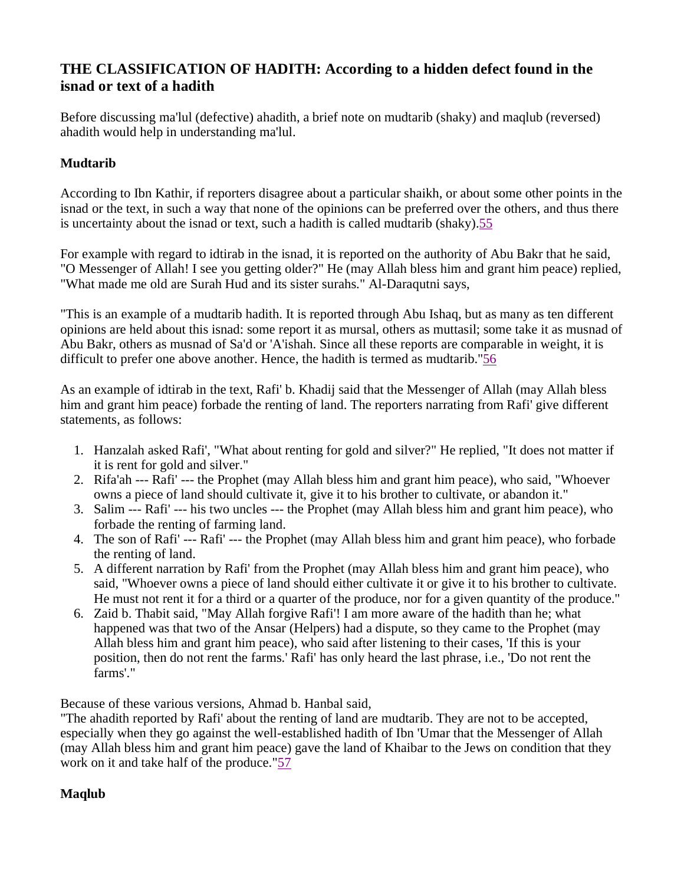## **THE CLASSIFICATION OF HADITH: According to a hidden defect found in the isnad or text of a hadith**

Before discussing ma'lul (defective) ahadith, a brief note on mudtarib (shaky) and maqlub (reversed) ahadith would help in understanding ma'lul.

### **Mudtarib**

According to Ibn Kathir, if reporters disagree about a particular shaikh, or about some other points in the isnad or the text, in such a way that none of the opinions can be preferred over the others, and thus there is uncertainty about the isnad or text, such a hadith is called mudtarib (shaky).55

For example with regard to idtirab in the isnad, it is reported on the authority of Abu Bakr that he said, "O Messenger of Allah! I see you getting older?" He (may Allah bless him and grant him peace) replied, "What made me old are Surah Hud and its sister surahs." Al-Daraqutni says,

"This is an example of a mudtarib hadith. It is reported through Abu Ishaq, but as many as ten different opinions are held about this isnad: some report it as mursal, others as muttasil; some take it as musnad of Abu Bakr, others as musnad of Sa'd or 'A'ishah. Since all these reports are comparable in weight, it is difficult to prefer one above another. Hence, the hadith is termed as mudtarib."56

As an example of idtirab in the text, Rafi' b. Khadij said that the Messenger of Allah (may Allah bless him and grant him peace) forbade the renting of land. The reporters narrating from Rafi' give different statements, as follows:

- 1. Hanzalah asked Rafi', "What about renting for gold and silver?" He replied, "It does not matter if it is rent for gold and silver."
- 2. Rifa'ah --- Rafi' --- the Prophet (may Allah bless him and grant him peace), who said, "Whoever owns a piece of land should cultivate it, give it to his brother to cultivate, or abandon it."
- 3. Salim --- Rafi' --- his two uncles --- the Prophet (may Allah bless him and grant him peace), who forbade the renting of farming land.
- 4. The son of Rafi' --- Rafi' --- the Prophet (may Allah bless him and grant him peace), who forbade the renting of land.
- 5. A different narration by Rafi' from the Prophet (may Allah bless him and grant him peace), who said, "Whoever owns a piece of land should either cultivate it or give it to his brother to cultivate. He must not rent it for a third or a quarter of the produce, nor for a given quantity of the produce."
- 6. Zaid b. Thabit said, "May Allah forgive Rafi'! I am more aware of the hadith than he; what happened was that two of the Ansar (Helpers) had a dispute, so they came to the Prophet (may Allah bless him and grant him peace), who said after listening to their cases, 'If this is your position, then do not rent the farms.' Rafi' has only heard the last phrase, i.e., 'Do not rent the farms'."

Because of these various versions, Ahmad b. Hanbal said,

"The ahadith reported by Rafi' about the renting of land are mudtarib. They are not to be accepted, especially when they go against the well-established hadith of Ibn 'Umar that the Messenger of Allah (may Allah bless him and grant him peace) gave the land of Khaibar to the Jews on condition that they work on it and take half of the produce."57

### **Maqlub**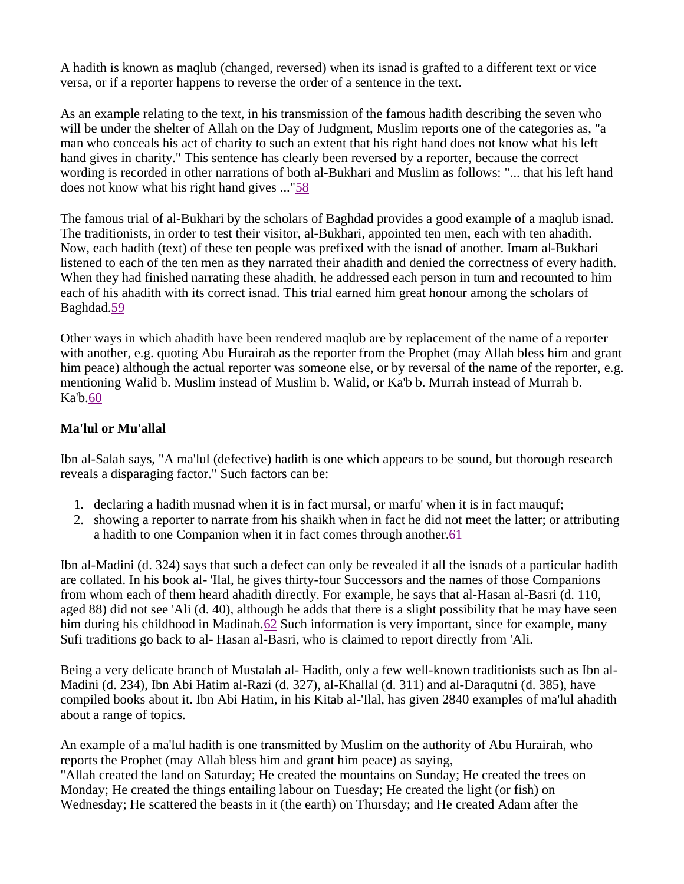A hadith is known as maqlub (changed, reversed) when its isnad is grafted to a different text or vice versa, or if a reporter happens to reverse the order of a sentence in the text.

As an example relating to the text, in his transmission of the famous hadith describing the seven who will be under the shelter of Allah on the Day of Judgment, Muslim reports one of the categories as, "a man who conceals his act of charity to such an extent that his right hand does not know what his left hand gives in charity." This sentence has clearly been reversed by a reporter, because the correct wording is recorded in other narrations of both al-Bukhari and Muslim as follows: "... that his left hand does not know what his right hand gives ..."58

The famous trial of al-Bukhari by the scholars of Baghdad provides a good example of a maqlub isnad. The traditionists, in order to test their visitor, al-Bukhari, appointed ten men, each with ten ahadith. Now, each hadith (text) of these ten people was prefixed with the isnad of another. Imam al-Bukhari listened to each of the ten men as they narrated their ahadith and denied the correctness of every hadith. When they had finished narrating these ahadith, he addressed each person in turn and recounted to him each of his ahadith with its correct isnad. This trial earned him great honour among the scholars of Baghdad.59

Other ways in which ahadith have been rendered maqlub are by replacement of the name of a reporter with another, e.g. quoting Abu Hurairah as the reporter from the Prophet (may Allah bless him and grant him peace) although the actual reporter was someone else, or by reversal of the name of the reporter, e.g. mentioning Walid b. Muslim instead of Muslim b. Walid, or Ka'b b. Murrah instead of Murrah b. Ka'b.60

### **Ma'lul or Mu'allal**

Ibn al-Salah says, "A ma'lul (defective) hadith is one which appears to be sound, but thorough research reveals a disparaging factor." Such factors can be:

- 1. declaring a hadith musnad when it is in fact mursal, or marfu' when it is in fact mauquf;
- 2. showing a reporter to narrate from his shaikh when in fact he did not meet the latter; or attributing a hadith to one Companion when it in fact comes through another.61

Ibn al-Madini (d. 324) says that such a defect can only be revealed if all the isnads of a particular hadith are collated. In his book al- 'Ilal, he gives thirty-four Successors and the names of those Companions from whom each of them heard ahadith directly. For example, he says that al-Hasan al-Basri (d. 110, aged 88) did not see 'Ali (d. 40), although he adds that there is a slight possibility that he may have seen him during his childhood in Madinah.62 Such information is very important, since for example, many Sufi traditions go back to al- Hasan al-Basri, who is claimed to report directly from 'Ali.

Being a very delicate branch of Mustalah al- Hadith, only a few well-known traditionists such as Ibn al-Madini (d. 234), Ibn Abi Hatim al-Razi (d. 327), al-Khallal (d. 311) and al-Daraqutni (d. 385), have compiled books about it. Ibn Abi Hatim, in his Kitab al-'Ilal, has given 2840 examples of ma'lul ahadith about a range of topics.

An example of a ma'lul hadith is one transmitted by Muslim on the authority of Abu Hurairah, who reports the Prophet (may Allah bless him and grant him peace) as saying,

"Allah created the land on Saturday; He created the mountains on Sunday; He created the trees on Monday; He created the things entailing labour on Tuesday; He created the light (or fish) on Wednesday; He scattered the beasts in it (the earth) on Thursday; and He created Adam after the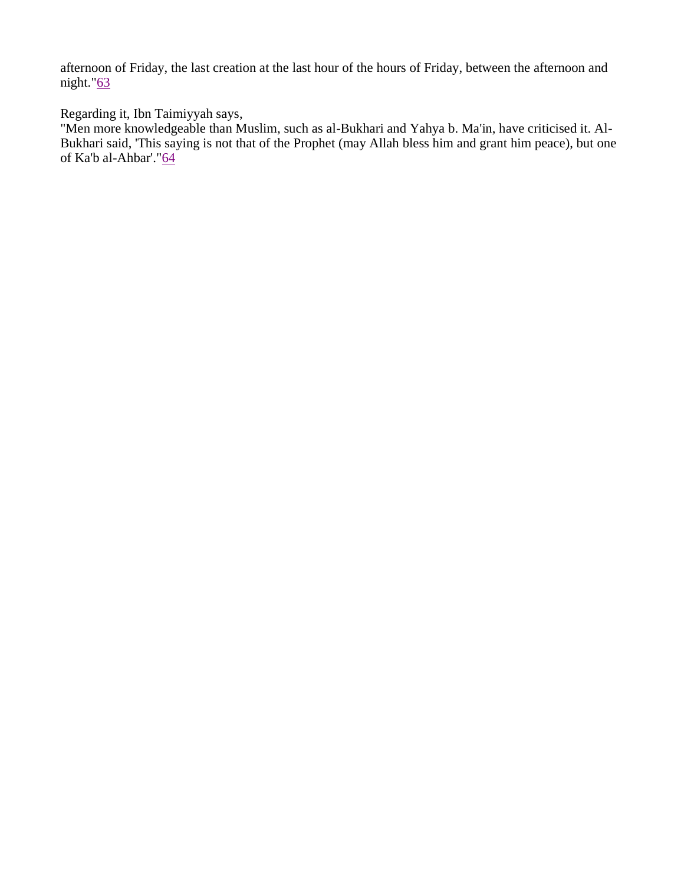afternoon of Friday, the last creation at the last hour of the hours of Friday, between the afternoon and night." $63$ 

Regarding it, Ibn Taimiyyah says,

"Men more knowledgeable than Muslim, such as al-Bukhari and Yahya b. Ma'in, have criticised it. Al-Bukhari said, 'This saying is not that of the Prophet (may Allah bless him and grant him peace), but one of Ka'b al-Ahbar'."64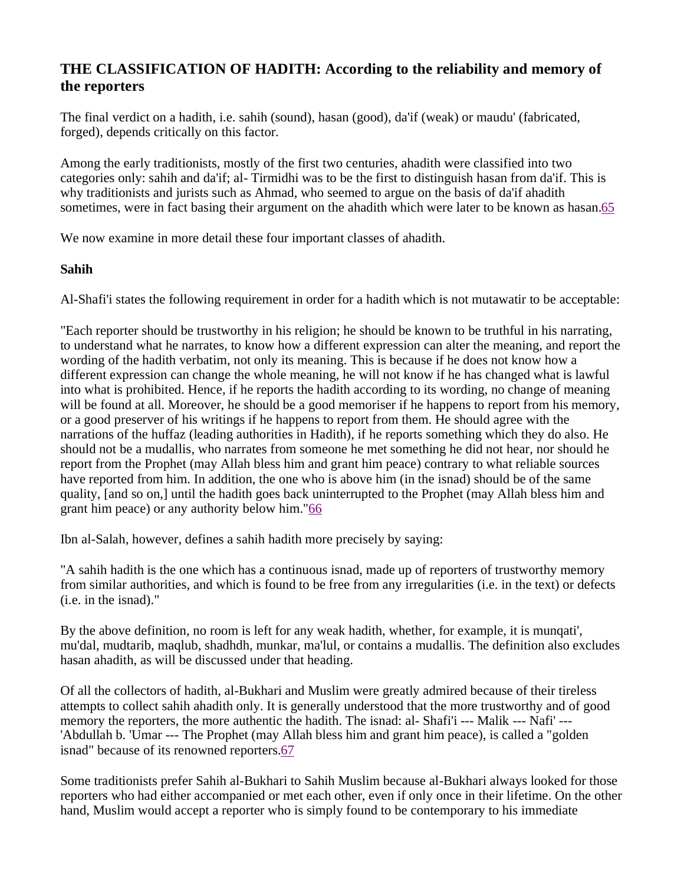## **THE CLASSIFICATION OF HADITH: According to the reliability and memory of the reporters**

The final verdict on a hadith, i.e. sahih (sound), hasan (good), da'if (weak) or maudu' (fabricated, forged), depends critically on this factor.

Among the early traditionists, mostly of the first two centuries, ahadith were classified into two categories only: sahih and da'if; al- Tirmidhi was to be the first to distinguish hasan from da'if. This is why traditionists and jurists such as Ahmad, who seemed to argue on the basis of da'if ahadith sometimes, were in fact basing their argument on the ahadith which were later to be known as hasan.65

We now examine in more detail these four important classes of ahadith.

#### **Sahih**

Al-Shafi'i states the following requirement in order for a hadith which is not mutawatir to be acceptable:

"Each reporter should be trustworthy in his religion; he should be known to be truthful in his narrating, to understand what he narrates, to know how a different expression can alter the meaning, and report the wording of the hadith verbatim, not only its meaning. This is because if he does not know how a different expression can change the whole meaning, he will not know if he has changed what is lawful into what is prohibited. Hence, if he reports the hadith according to its wording, no change of meaning will be found at all. Moreover, he should be a good memoriser if he happens to report from his memory, or a good preserver of his writings if he happens to report from them. He should agree with the narrations of the huffaz (leading authorities in Hadith), if he reports something which they do also. He should not be a mudallis, who narrates from someone he met something he did not hear, nor should he report from the Prophet (may Allah bless him and grant him peace) contrary to what reliable sources have reported from him. In addition, the one who is above him (in the isnad) should be of the same quality, [and so on,] until the hadith goes back uninterrupted to the Prophet (may Allah bless him and grant him peace) or any authority below him."66

Ibn al-Salah, however, defines a sahih hadith more precisely by saying:

"A sahih hadith is the one which has a continuous isnad, made up of reporters of trustworthy memory from similar authorities, and which is found to be free from any irregularities (i.e. in the text) or defects (i.e. in the isnad)."

By the above definition, no room is left for any weak hadith, whether, for example, it is munqati', mu'dal, mudtarib, maqlub, shadhdh, munkar, ma'lul, or contains a mudallis. The definition also excludes hasan ahadith, as will be discussed under that heading.

Of all the collectors of hadith, al-Bukhari and Muslim were greatly admired because of their tireless attempts to collect sahih ahadith only. It is generally understood that the more trustworthy and of good memory the reporters, the more authentic the hadith. The isnad: al- Shafi'i --- Malik --- Nafi' ---'Abdullah b. 'Umar --- The Prophet (may Allah bless him and grant him peace), is called a "golden isnad" because of its renowned reporters.67

Some traditionists prefer Sahih al-Bukhari to Sahih Muslim because al-Bukhari always looked for those reporters who had either accompanied or met each other, even if only once in their lifetime. On the other hand, Muslim would accept a reporter who is simply found to be contemporary to his immediate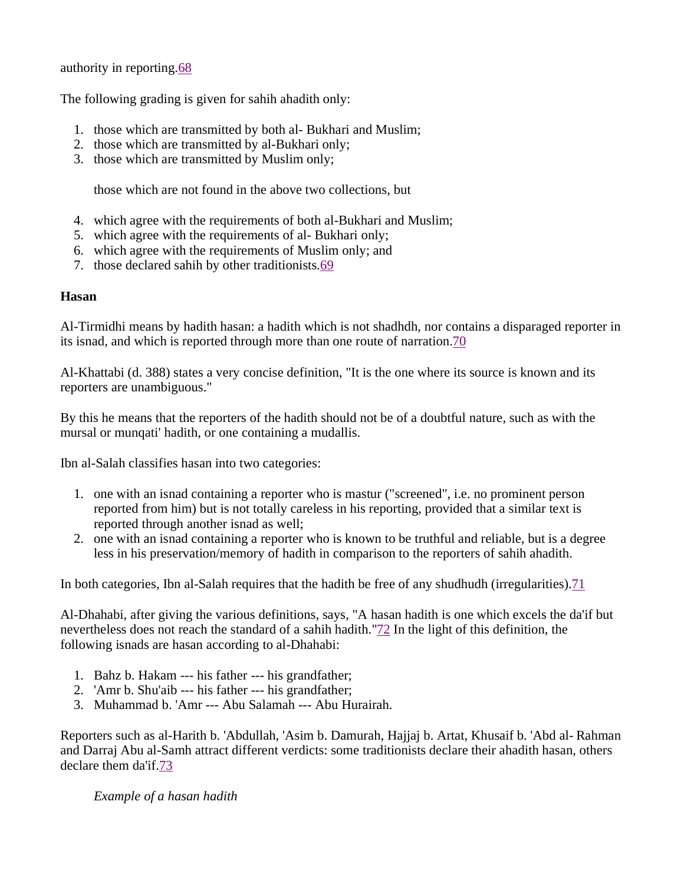authority in reporting.68

The following grading is given for sahih ahadith only:

- 1. those which are transmitted by both al- Bukhari and Muslim;
- 2. those which are transmitted by al-Bukhari only;
- 3. those which are transmitted by Muslim only;

those which are not found in the above two collections, but

- 4. which agree with the requirements of both al-Bukhari and Muslim;
- 5. which agree with the requirements of al- Bukhari only;
- 6. which agree with the requirements of Muslim only; and
- 7. those declared sahih by other traditionists.69

#### **Hasan**

Al-Tirmidhi means by hadith hasan: a hadith which is not shadhdh, nor contains a disparaged reporter in its isnad, and which is reported through more than one route of narration.70

Al-Khattabi (d. 388) states a very concise definition, "It is the one where its source is known and its reporters are unambiguous."

By this he means that the reporters of the hadith should not be of a doubtful nature, such as with the mursal or munqati' hadith, or one containing a mudallis.

Ibn al-Salah classifies hasan into two categories:

- 1. one with an isnad containing a reporter who is mastur ("screened", i.e. no prominent person reported from him) but is not totally careless in his reporting, provided that a similar text is reported through another isnad as well;
- 2. one with an isnad containing a reporter who is known to be truthful and reliable, but is a degree less in his preservation/memory of hadith in comparison to the reporters of sahih ahadith.

In both categories, Ibn al-Salah requires that the hadith be free of any shudhudh (irregularities).71

Al-Dhahabi, after giving the various definitions, says, "A hasan hadith is one which excels the da'if but nevertheless does not reach the standard of a sahih hadith."72 In the light of this definition, the following isnads are hasan according to al-Dhahabi:

- 1. Bahz b. Hakam --- his father --- his grandfather;
- 2. 'Amr b. Shu'aib --- his father --- his grandfather;
- 3. Muhammad b. 'Amr --- Abu Salamah --- Abu Hurairah.

Reporters such as al-Harith b. 'Abdullah, 'Asim b. Damurah, Hajjaj b. Artat, Khusaif b. 'Abd al- Rahman and Darraj Abu al-Samh attract different verdicts: some traditionists declare their ahadith hasan, others declare them da'if.73

*Example of a hasan hadith*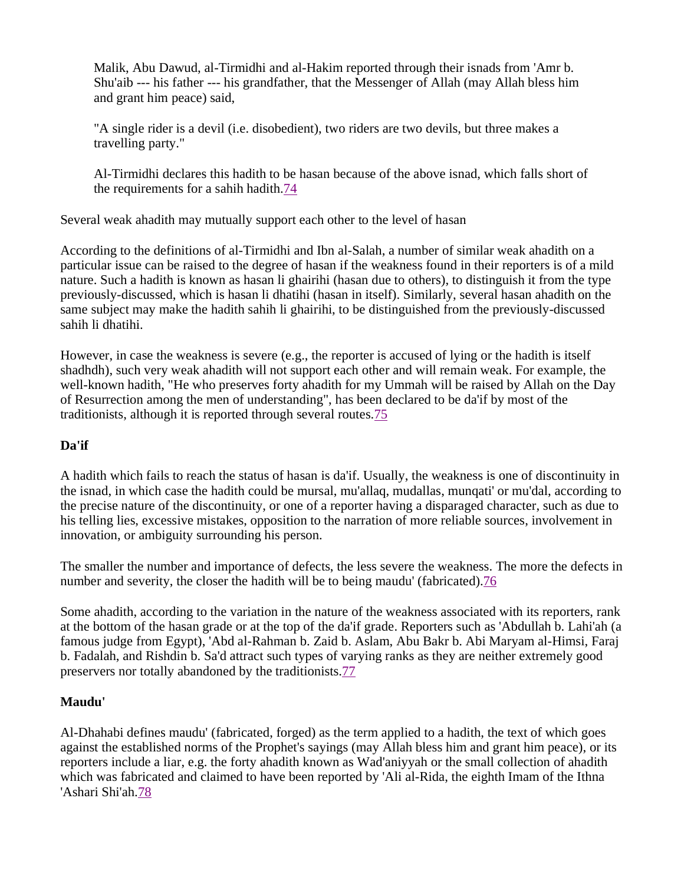Malik, Abu Dawud, al-Tirmidhi and al-Hakim reported through their isnads from 'Amr b. Shu'aib --- his father --- his grandfather, that the Messenger of Allah (may Allah bless him and grant him peace) said,

"A single rider is a devil (i.e. disobedient), two riders are two devils, but three makes a travelling party."

Al-Tirmidhi declares this hadith to be hasan because of the above isnad, which falls short of the requirements for a sahih hadith.74

Several weak ahadith may mutually support each other to the level of hasan

According to the definitions of al-Tirmidhi and Ibn al-Salah, a number of similar weak ahadith on a particular issue can be raised to the degree of hasan if the weakness found in their reporters is of a mild nature. Such a hadith is known as hasan li ghairihi (hasan due to others), to distinguish it from the type previously-discussed, which is hasan li dhatihi (hasan in itself). Similarly, several hasan ahadith on the same subject may make the hadith sahih li ghairihi, to be distinguished from the previously-discussed sahih li dhatihi.

However, in case the weakness is severe (e.g., the reporter is accused of lying or the hadith is itself shadhdh), such very weak ahadith will not support each other and will remain weak. For example, the well-known hadith, "He who preserves forty ahadith for my Ummah will be raised by Allah on the Day of Resurrection among the men of understanding", has been declared to be da'if by most of the traditionists, although it is reported through several routes.75

### **Da'if**

A hadith which fails to reach the status of hasan is da'if. Usually, the weakness is one of discontinuity in the isnad, in which case the hadith could be mursal, mu'allaq, mudallas, munqati' or mu'dal, according to the precise nature of the discontinuity, or one of a reporter having a disparaged character, such as due to his telling lies, excessive mistakes, opposition to the narration of more reliable sources, involvement in innovation, or ambiguity surrounding his person.

The smaller the number and importance of defects, the less severe the weakness. The more the defects in number and severity, the closer the hadith will be to being maudu' (fabricated).76

Some ahadith, according to the variation in the nature of the weakness associated with its reporters, rank at the bottom of the hasan grade or at the top of the da'if grade. Reporters such as 'Abdullah b. Lahi'ah (a famous judge from Egypt), 'Abd al-Rahman b. Zaid b. Aslam, Abu Bakr b. Abi Maryam al-Himsi, Faraj b. Fadalah, and Rishdin b. Sa'd attract such types of varying ranks as they are neither extremely good preservers nor totally abandoned by the traditionists.77

### **Maudu'**

Al-Dhahabi defines maudu' (fabricated, forged) as the term applied to a hadith, the text of which goes against the established norms of the Prophet's sayings (may Allah bless him and grant him peace), or its reporters include a liar, e.g. the forty ahadith known as Wad'aniyyah or the small collection of ahadith which was fabricated and claimed to have been reported by 'Ali al-Rida, the eighth Imam of the Ithna 'Ashari Shi'ah.78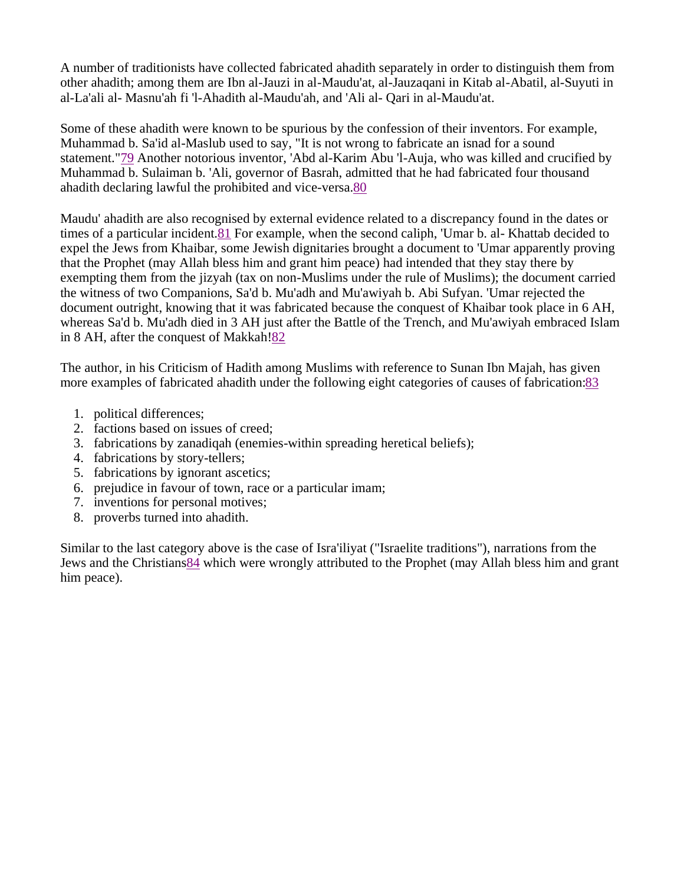A number of traditionists have collected fabricated ahadith separately in order to distinguish them from other ahadith; among them are Ibn al-Jauzi in al-Maudu'at, al-Jauzaqani in Kitab al-Abatil, al-Suyuti in al-La'ali al- Masnu'ah fi 'l-Ahadith al-Maudu'ah, and 'Ali al- Qari in al-Maudu'at.

Some of these ahadith were known to be spurious by the confession of their inventors. For example, Muhammad b. Sa'id al-Maslub used to say, "It is not wrong to fabricate an isnad for a sound statement."79 Another notorious inventor, 'Abd al-Karim Abu 'l-Auja, who was killed and crucified by Muhammad b. Sulaiman b. 'Ali, governor of Basrah, admitted that he had fabricated four thousand ahadith declaring lawful the prohibited and vice-versa.80

Maudu' ahadith are also recognised by external evidence related to a discrepancy found in the dates or times of a particular incident.81 For example, when the second caliph, 'Umar b. al- Khattab decided to expel the Jews from Khaibar, some Jewish dignitaries brought a document to 'Umar apparently proving that the Prophet (may Allah bless him and grant him peace) had intended that they stay there by exempting them from the jizyah (tax on non-Muslims under the rule of Muslims); the document carried the witness of two Companions, Sa'd b. Mu'adh and Mu'awiyah b. Abi Sufyan. 'Umar rejected the document outright, knowing that it was fabricated because the conquest of Khaibar took place in 6 AH, whereas Sa'd b. Mu'adh died in 3 AH just after the Battle of the Trench, and Mu'awiyah embraced Islam in 8 AH, after the conquest of Makkah!82

The author, in his Criticism of Hadith among Muslims with reference to Sunan Ibn Majah, has given more examples of fabricated ahadith under the following eight categories of causes of fabrication:83

- 1. political differences;
- 2. factions based on issues of creed;
- 3. fabrications by zanadiqah (enemies-within spreading heretical beliefs);
- 4. fabrications by story-tellers;
- 5. fabrications by ignorant ascetics;
- 6. prejudice in favour of town, race or a particular imam;
- 7. inventions for personal motives;
- 8. proverbs turned into ahadith.

Similar to the last category above is the case of Isra'iliyat ("Israelite traditions"), narrations from the Jews and the Christians84 which were wrongly attributed to the Prophet (may Allah bless him and grant him peace).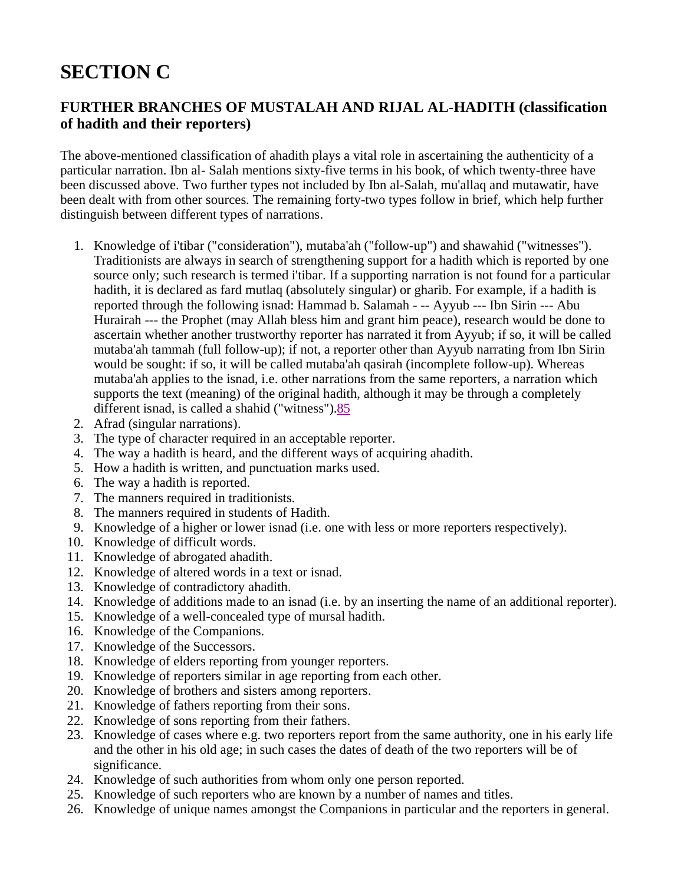## **SECTION C**

## **FURTHER BRANCHES OF MUSTALAH AND RIJAL AL-HADITH (classification of hadith and their reporters)**

The above-mentioned classification of ahadith plays a vital role in ascertaining the authenticity of a particular narration. Ibn al- Salah mentions sixty-five terms in his book, of which twenty-three have been discussed above. Two further types not included by Ibn al-Salah, mu'allaq and mutawatir, have been dealt with from other sources. The remaining forty-two types follow in brief, which help further distinguish between different types of narrations.

- 1. Knowledge of i'tibar ("consideration"), mutaba'ah ("follow-up") and shawahid ("witnesses"). Traditionists are always in search of strengthening support for a hadith which is reported by one source only; such research is termed i'tibar. If a supporting narration is not found for a particular hadith, it is declared as fard mutlaq (absolutely singular) or gharib. For example, if a hadith is reported through the following isnad: Hammad b. Salamah - -- Ayyub --- Ibn Sirin --- Abu Hurairah --- the Prophet (may Allah bless him and grant him peace), research would be done to ascertain whether another trustworthy reporter has narrated it from Ayyub; if so, it will be called mutaba'ah tammah (full follow-up); if not, a reporter other than Ayyub narrating from Ibn Sirin would be sought: if so, it will be called mutaba'ah qasirah (incomplete follow-up). Whereas mutaba'ah applies to the isnad, i.e. other narrations from the same reporters, a narration which supports the text (meaning) of the original hadith, although it may be through a completely different isnad, is called a shahid ("witness").85
- 2. Afrad (singular narrations).
- 3. The type of character required in an acceptable reporter.
- 4. The way a hadith is heard, and the different ways of acquiring ahadith.
- 5. How a hadith is written, and punctuation marks used.
- 6. The way a hadith is reported.
- 7. The manners required in traditionists.
- 8. The manners required in students of Hadith.
- 9. Knowledge of a higher or lower isnad (i.e. one with less or more reporters respectively).
- 10. Knowledge of difficult words.
- 11. Knowledge of abrogated ahadith.
- 12. Knowledge of altered words in a text or isnad.
- 13. Knowledge of contradictory ahadith.
- 14. Knowledge of additions made to an isnad (i.e. by an inserting the name of an additional reporter).
- 15. Knowledge of a well-concealed type of mursal hadith.
- 16. Knowledge of the Companions.
- 17. Knowledge of the Successors.
- 18. Knowledge of elders reporting from younger reporters.
- 19. Knowledge of reporters similar in age reporting from each other.
- 20. Knowledge of brothers and sisters among reporters.
- 21. Knowledge of fathers reporting from their sons.
- 22. Knowledge of sons reporting from their fathers.
- 23. Knowledge of cases where e.g. two reporters report from the same authority, one in his early life and the other in his old age; in such cases the dates of death of the two reporters will be of significance.
- 24. Knowledge of such authorities from whom only one person reported.
- 25. Knowledge of such reporters who are known by a number of names and titles.
- 26. Knowledge of unique names amongst the Companions in particular and the reporters in general.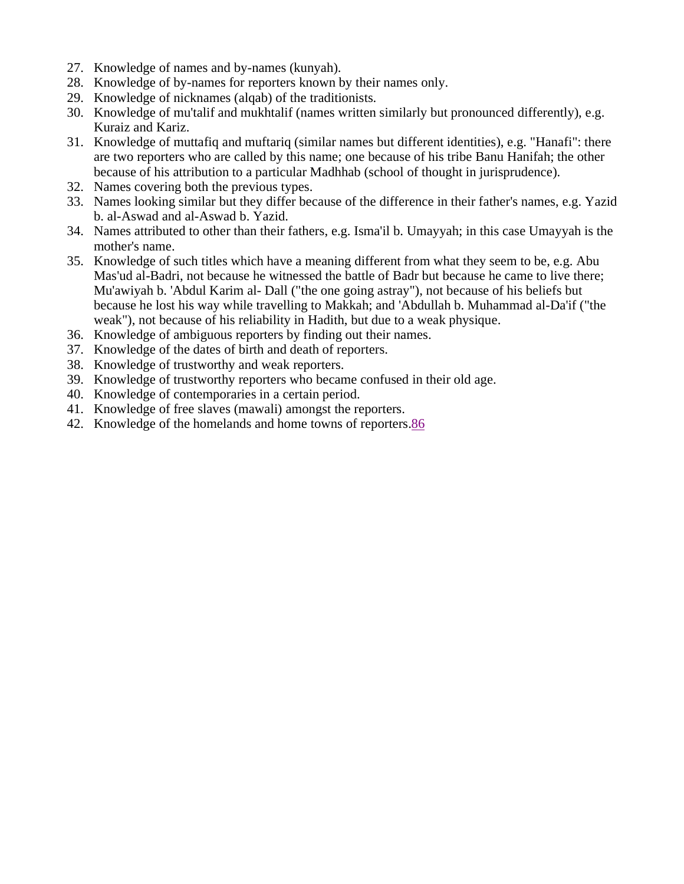- 27. Knowledge of names and by-names (kunyah).
- 28. Knowledge of by-names for reporters known by their names only.
- 29. Knowledge of nicknames (alqab) of the traditionists.
- 30. Knowledge of mu'talif and mukhtalif (names written similarly but pronounced differently), e.g. Kuraiz and Kariz.
- 31. Knowledge of muttafiq and muftariq (similar names but different identities), e.g. "Hanafi": there are two reporters who are called by this name; one because of his tribe Banu Hanifah; the other because of his attribution to a particular Madhhab (school of thought in jurisprudence).
- 32. Names covering both the previous types.
- 33. Names looking similar but they differ because of the difference in their father's names, e.g. Yazid b. al-Aswad and al-Aswad b. Yazid.
- 34. Names attributed to other than their fathers, e.g. Isma'il b. Umayyah; in this case Umayyah is the mother's name.
- 35. Knowledge of such titles which have a meaning different from what they seem to be, e.g. Abu Mas'ud al-Badri, not because he witnessed the battle of Badr but because he came to live there; Mu'awiyah b. 'Abdul Karim al- Dall ("the one going astray"), not because of his beliefs but because he lost his way while travelling to Makkah; and 'Abdullah b. Muhammad al-Da'if ("the weak"), not because of his reliability in Hadith, but due to a weak physique.
- 36. Knowledge of ambiguous reporters by finding out their names.
- 37. Knowledge of the dates of birth and death of reporters.
- 38. Knowledge of trustworthy and weak reporters.
- 39. Knowledge of trustworthy reporters who became confused in their old age.
- 40. Knowledge of contemporaries in a certain period.
- 41. Knowledge of free slaves (mawali) amongst the reporters.
- 42. Knowledge of the homelands and home towns of reporters.86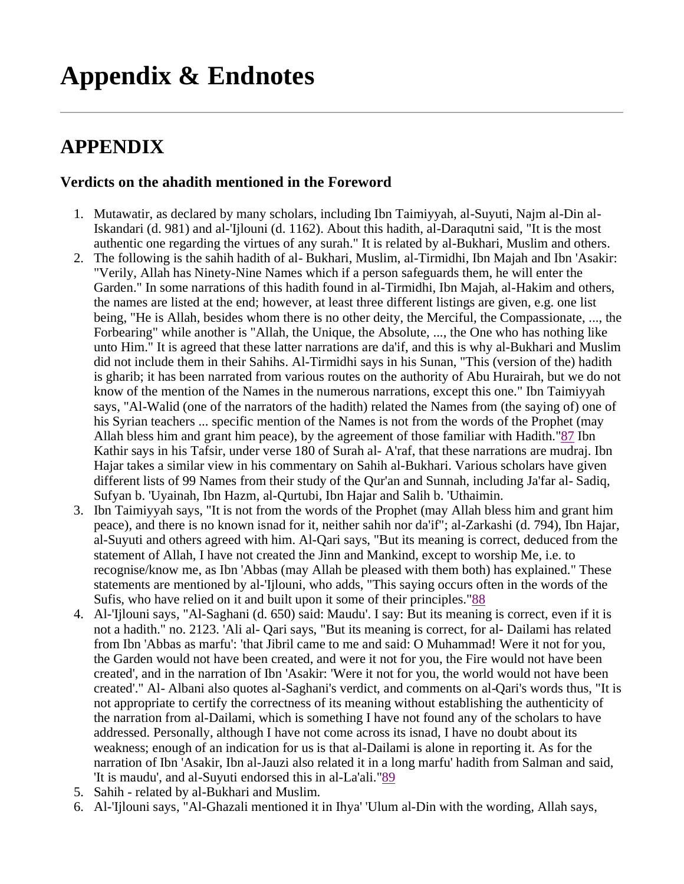# **Appendix & Endnotes**

## **APPENDIX**

#### **Verdicts on the ahadith mentioned in the Foreword**

- 1. Mutawatir, as declared by many scholars, including Ibn Taimiyyah, al-Suyuti, Najm al-Din al-Iskandari (d. 981) and al-'Ijlouni (d. 1162). About this hadith, al-Daraqutni said, "It is the most authentic one regarding the virtues of any surah." It is related by al-Bukhari, Muslim and others.
- 2. The following is the sahih hadith of al- Bukhari, Muslim, al-Tirmidhi, Ibn Majah and Ibn 'Asakir: "Verily, Allah has Ninety-Nine Names which if a person safeguards them, he will enter the Garden." In some narrations of this hadith found in al-Tirmidhi, Ibn Majah, al-Hakim and others, the names are listed at the end; however, at least three different listings are given, e.g. one list being, "He is Allah, besides whom there is no other deity, the Merciful, the Compassionate, ..., the Forbearing" while another is "Allah, the Unique, the Absolute, ..., the One who has nothing like unto Him." It is agreed that these latter narrations are da'if, and this is why al-Bukhari and Muslim did not include them in their Sahihs. Al-Tirmidhi says in his Sunan, "This (version of the) hadith is gharib; it has been narrated from various routes on the authority of Abu Hurairah, but we do not know of the mention of the Names in the numerous narrations, except this one." Ibn Taimiyyah says, "Al-Walid (one of the narrators of the hadith) related the Names from (the saying of) one of his Syrian teachers ... specific mention of the Names is not from the words of the Prophet (may Allah bless him and grant him peace), by the agreement of those familiar with Hadith."87 Ibn Kathir says in his Tafsir, under verse 180 of Surah al- A'raf, that these narrations are mudraj. Ibn Hajar takes a similar view in his commentary on Sahih al-Bukhari. Various scholars have given different lists of 99 Names from their study of the Qur'an and Sunnah, including Ja'far al- Sadiq, Sufyan b. 'Uyainah, Ibn Hazm, al-Qurtubi, Ibn Hajar and Salih b. 'Uthaimin.
- 3. Ibn Taimiyyah says, "It is not from the words of the Prophet (may Allah bless him and grant him peace), and there is no known isnad for it, neither sahih nor da'if"; al-Zarkashi (d. 794), Ibn Hajar, al-Suyuti and others agreed with him. Al-Qari says, "But its meaning is correct, deduced from the statement of Allah, I have not created the Jinn and Mankind, except to worship Me, i.e. to recognise/know me, as Ibn 'Abbas (may Allah be pleased with them both) has explained." These statements are mentioned by al-'Ijlouni, who adds, "This saying occurs often in the words of the Sufis, who have relied on it and built upon it some of their principles."88
- 4. Al-'Ijlouni says, "Al-Saghani (d. 650) said: Maudu'. I say: But its meaning is correct, even if it is not a hadith." no. 2123. 'Ali al- Qari says, "But its meaning is correct, for al- Dailami has related from Ibn 'Abbas as marfu': 'that Jibril came to me and said: O Muhammad! Were it not for you, the Garden would not have been created, and were it not for you, the Fire would not have been created', and in the narration of Ibn 'Asakir: 'Were it not for you, the world would not have been created'." Al- Albani also quotes al-Saghani's verdict, and comments on al-Qari's words thus, "It is not appropriate to certify the correctness of its meaning without establishing the authenticity of the narration from al-Dailami, which is something I have not found any of the scholars to have addressed. Personally, although I have not come across its isnad, I have no doubt about its weakness; enough of an indication for us is that al-Dailami is alone in reporting it. As for the narration of Ibn 'Asakir, Ibn al-Jauzi also related it in a long marfu' hadith from Salman and said, 'It is maudu', and al-Suyuti endorsed this in al-La'ali."89
- 5. Sahih related by al-Bukhari and Muslim.
- 6. Al-'Ijlouni says, "Al-Ghazali mentioned it in Ihya' 'Ulum al-Din with the wording, Allah says,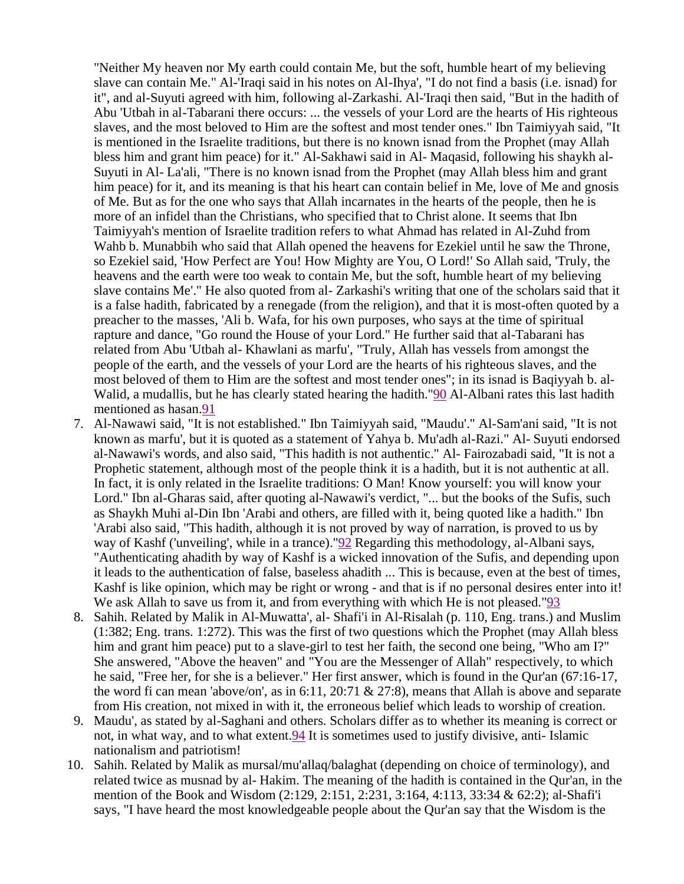"Neither My heaven nor My earth could contain Me, but the soft, humble heart of my believing slave can contain Me." Al-'Iraqi said in his notes on Al-Ihya', "I do not find a basis (i.e. isnad) for it", and al-Suyuti agreed with him, following al-Zarkashi. Al-'Iraqi then said, "But in the hadith of Abu 'Utbah in al-Tabarani there occurs: ... the vessels of your Lord are the hearts of His righteous slaves, and the most beloved to Him are the softest and most tender ones." Ibn Taimiyyah said, "It is mentioned in the Israelite traditions, but there is no known isnad from the Prophet (may Allah bless him and grant him peace) for it." Al-Sakhawi said in Al- Maqasid, following his shaykh al-Suyuti in Al- La'ali, "There is no known isnad from the Prophet (may Allah bless him and grant him peace) for it, and its meaning is that his heart can contain belief in Me, love of Me and gnosis of Me. But as for the one who says that Allah incarnates in the hearts of the people, then he is more of an infidel than the Christians, who specified that to Christ alone. It seems that Ibn Taimiyyah's mention of Israelite tradition refers to what Ahmad has related in Al-Zuhd from Wahb b. Munabbih who said that Allah opened the heavens for Ezekiel until he saw the Throne, so Ezekiel said, 'How Perfect are You! How Mighty are You, O Lord!' So Allah said, 'Truly, the heavens and the earth were too weak to contain Me, but the soft, humble heart of my believing slave contains Me'." He also quoted from al- Zarkashi's writing that one of the scholars said that it is a false hadith, fabricated by a renegade (from the religion), and that it is most-often quoted by a preacher to the masses, 'Ali b. Wafa, for his own purposes, who says at the time of spiritual rapture and dance, "Go round the House of your Lord." He further said that al-Tabarani has related from Abu 'Utbah al- Khawlani as marfu', "Truly, Allah has vessels from amongst the people of the earth, and the vessels of your Lord are the hearts of his righteous slaves, and the most beloved of them to Him are the softest and most tender ones"; in its isnad is Baqiyyah b. al-Walid, a mudallis, but he has clearly stated hearing the hadith."90 Al-Albani rates this last hadith mentioned as hasan.91

- 7. Al-Nawawi said, "It is not established." Ibn Taimiyyah said, "Maudu'." Al-Sam'ani said, "It is not known as marfu', but it is quoted as a statement of Yahya b. Mu'adh al-Razi." Al- Suyuti endorsed al-Nawawi's words, and also said, "This hadith is not authentic." Al- Fairozabadi said, "It is not a Prophetic statement, although most of the people think it is a hadith, but it is not authentic at all. In fact, it is only related in the Israelite traditions: O Man! Know yourself: you will know your Lord." Ibn al-Gharas said, after quoting al-Nawawi's verdict, "... but the books of the Sufis, such as Shaykh Muhi al-Din Ibn 'Arabi and others, are filled with it, being quoted like a hadith." Ibn 'Arabi also said, "This hadith, although it is not proved by way of narration, is proved to us by way of Kashf ('unveiling', while in a trance)."92 Regarding this methodology, al-Albani says, "Authenticating ahadith by way of Kashf is a wicked innovation of the Sufis, and depending upon it leads to the authentication of false, baseless ahadith ... This is because, even at the best of times, Kashf is like opinion, which may be right or wrong - and that is if no personal desires enter into it! We ask Allah to save us from it, and from everything with which He is not pleased."93
- 8. Sahih. Related by Malik in Al-Muwatta', al- Shafi'i in Al-Risalah (p. 110, Eng. trans.) and Muslim (1:382; Eng. trans. 1:272). This was the first of two questions which the Prophet (may Allah bless him and grant him peace) put to a slave-girl to test her faith, the second one being, "Who am I?" She answered, "Above the heaven" and "You are the Messenger of Allah" respectively, to which he said, "Free her, for she is a believer." Her first answer, which is found in the Qur'an (67:16-17, the word fi can mean 'above/on', as in 6:11, 20:71 & 27:8), means that Allah is above and separate from His creation, not mixed in with it, the erroneous belief which leads to worship of creation.
- 9. Maudu', as stated by al-Saghani and others. Scholars differ as to whether its meaning is correct or not, in what way, and to what extent. **94** It is sometimes used to justify divisive, anti- Islamic nationalism and patriotism!
- 10. Sahih. Related by Malik as mursal/mu'allaq/balaghat (depending on choice of terminology), and related twice as musnad by al- Hakim. The meaning of the hadith is contained in the Qur'an, in the mention of the Book and Wisdom (2:129, 2:151, 2:231, 3:164, 4:113, 33:34 & 62:2); al-Shafi'i says, "I have heard the most knowledgeable people about the Qur'an say that the Wisdom is the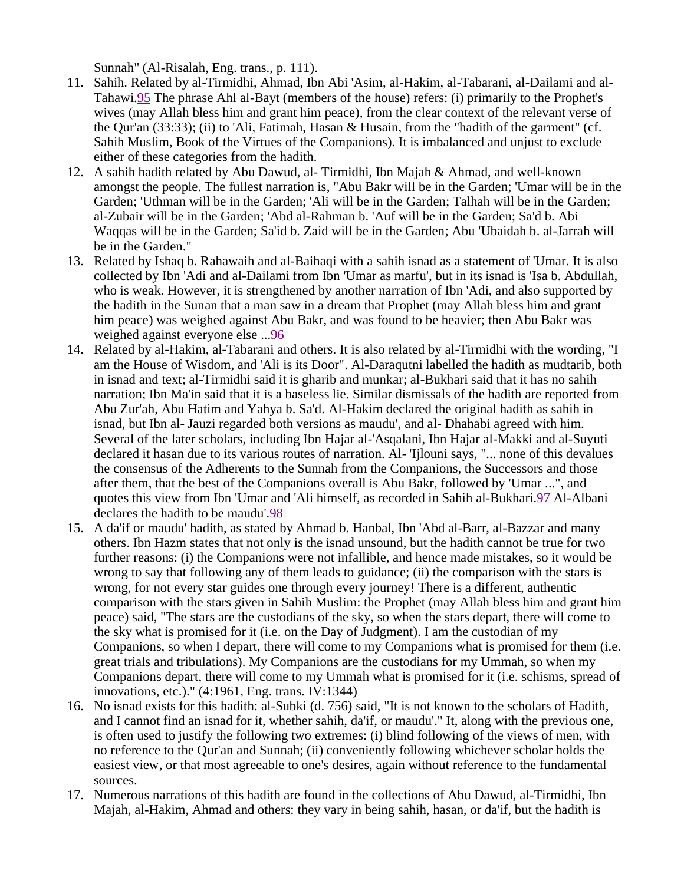Sunnah" (Al-Risalah, Eng. trans., p. 111).

- 11. Sahih. Related by al-Tirmidhi, Ahmad, Ibn Abi 'Asim, al-Hakim, al-Tabarani, al-Dailami and al-Tahawi.95 The phrase Ahl al-Bayt (members of the house) refers: (i) primarily to the Prophet's wives (may Allah bless him and grant him peace), from the clear context of the relevant verse of the Qur'an (33:33); (ii) to 'Ali, Fatimah, Hasan & Husain, from the "hadith of the garment" (cf. Sahih Muslim, Book of the Virtues of the Companions). It is imbalanced and unjust to exclude either of these categories from the hadith.
- 12. A sahih hadith related by Abu Dawud, al- Tirmidhi, Ibn Majah & Ahmad, and well-known amongst the people. The fullest narration is, "Abu Bakr will be in the Garden; 'Umar will be in the Garden; 'Uthman will be in the Garden; 'Ali will be in the Garden; Talhah will be in the Garden; al-Zubair will be in the Garden; 'Abd al-Rahman b. 'Auf will be in the Garden; Sa'd b. Abi Waqqas will be in the Garden; Sa'id b. Zaid will be in the Garden; Abu 'Ubaidah b. al-Jarrah will be in the Garden."
- 13. Related by Ishaq b. Rahawaih and al-Baihaqi with a sahih isnad as a statement of 'Umar. It is also collected by Ibn 'Adi and al-Dailami from Ibn 'Umar as marfu', but in its isnad is 'Isa b. Abdullah, who is weak. However, it is strengthened by another narration of Ibn 'Adi, and also supported by the hadith in the Sunan that a man saw in a dream that Prophet (may Allah bless him and grant him peace) was weighed against Abu Bakr, and was found to be heavier; then Abu Bakr was weighed against everyone else ...96
- 14. Related by al-Hakim, al-Tabarani and others. It is also related by al-Tirmidhi with the wording, "I am the House of Wisdom, and 'Ali is its Door". Al-Daraqutni labelled the hadith as mudtarib, both in isnad and text; al-Tirmidhi said it is gharib and munkar; al-Bukhari said that it has no sahih narration; Ibn Ma'in said that it is a baseless lie. Similar dismissals of the hadith are reported from Abu Zur'ah, Abu Hatim and Yahya b. Sa'd. Al-Hakim declared the original hadith as sahih in isnad, but Ibn al- Jauzi regarded both versions as maudu', and al- Dhahabi agreed with him. Several of the later scholars, including Ibn Hajar al-'Asqalani, Ibn Hajar al-Makki and al-Suyuti declared it hasan due to its various routes of narration. Al- 'Ijlouni says, "... none of this devalues the consensus of the Adherents to the Sunnah from the Companions, the Successors and those after them, that the best of the Companions overall is Abu Bakr, followed by 'Umar ...", and quotes this view from Ibn 'Umar and 'Ali himself, as recorded in Sahih al-Bukhari.97 Al-Albani declares the hadith to be maudu'.98
- 15. A da'if or maudu' hadith, as stated by Ahmad b. Hanbal, Ibn 'Abd al-Barr, al-Bazzar and many others. Ibn Hazm states that not only is the isnad unsound, but the hadith cannot be true for two further reasons: (i) the Companions were not infallible, and hence made mistakes, so it would be wrong to say that following any of them leads to guidance; (ii) the comparison with the stars is wrong, for not every star guides one through every journey! There is a different, authentic comparison with the stars given in Sahih Muslim: the Prophet (may Allah bless him and grant him peace) said, "The stars are the custodians of the sky, so when the stars depart, there will come to the sky what is promised for it (i.e. on the Day of Judgment). I am the custodian of my Companions, so when I depart, there will come to my Companions what is promised for them (i.e. great trials and tribulations). My Companions are the custodians for my Ummah, so when my Companions depart, there will come to my Ummah what is promised for it (i.e. schisms, spread of innovations, etc.)." (4:1961, Eng. trans. IV:1344)
- 16. No isnad exists for this hadith: al-Subki (d. 756) said, "It is not known to the scholars of Hadith, and I cannot find an isnad for it, whether sahih, da'if, or maudu'." It, along with the previous one, is often used to justify the following two extremes: (i) blind following of the views of men, with no reference to the Qur'an and Sunnah; (ii) conveniently following whichever scholar holds the easiest view, or that most agreeable to one's desires, again without reference to the fundamental sources.
- 17. Numerous narrations of this hadith are found in the collections of Abu Dawud, al-Tirmidhi, Ibn Majah, al-Hakim, Ahmad and others: they vary in being sahih, hasan, or da'if, but the hadith is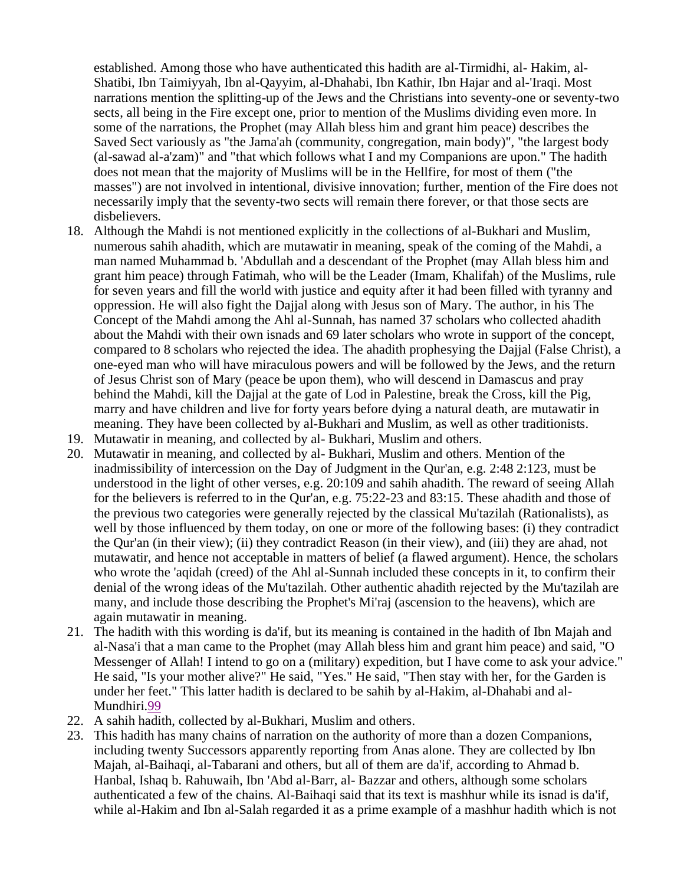established. Among those who have authenticated this hadith are al-Tirmidhi, al- Hakim, al-Shatibi, Ibn Taimiyyah, Ibn al-Qayyim, al-Dhahabi, Ibn Kathir, Ibn Hajar and al-'Iraqi. Most narrations mention the splitting-up of the Jews and the Christians into seventy-one or seventy-two sects, all being in the Fire except one, prior to mention of the Muslims dividing even more. In some of the narrations, the Prophet (may Allah bless him and grant him peace) describes the Saved Sect variously as "the Jama'ah (community, congregation, main body)", "the largest body (al-sawad al-a'zam)" and "that which follows what I and my Companions are upon." The hadith does not mean that the majority of Muslims will be in the Hellfire, for most of them ("the masses") are not involved in intentional, divisive innovation; further, mention of the Fire does not necessarily imply that the seventy-two sects will remain there forever, or that those sects are disbelievers.

- 18. Although the Mahdi is not mentioned explicitly in the collections of al-Bukhari and Muslim, numerous sahih ahadith, which are mutawatir in meaning, speak of the coming of the Mahdi, a man named Muhammad b. 'Abdullah and a descendant of the Prophet (may Allah bless him and grant him peace) through Fatimah, who will be the Leader (Imam, Khalifah) of the Muslims, rule for seven years and fill the world with justice and equity after it had been filled with tyranny and oppression. He will also fight the Dajjal along with Jesus son of Mary. The author, in his The Concept of the Mahdi among the Ahl al-Sunnah, has named 37 scholars who collected ahadith about the Mahdi with their own isnads and 69 later scholars who wrote in support of the concept, compared to 8 scholars who rejected the idea. The ahadith prophesying the Dajjal (False Christ), a one-eyed man who will have miraculous powers and will be followed by the Jews, and the return of Jesus Christ son of Mary (peace be upon them), who will descend in Damascus and pray behind the Mahdi, kill the Dajjal at the gate of Lod in Palestine, break the Cross, kill the Pig, marry and have children and live for forty years before dying a natural death, are mutawatir in meaning. They have been collected by al-Bukhari and Muslim, as well as other traditionists.
- 19. Mutawatir in meaning, and collected by al- Bukhari, Muslim and others.
- 20. Mutawatir in meaning, and collected by al- Bukhari, Muslim and others. Mention of the inadmissibility of intercession on the Day of Judgment in the Qur'an, e.g. 2:48 2:123, must be understood in the light of other verses, e.g. 20:109 and sahih ahadith. The reward of seeing Allah for the believers is referred to in the Qur'an, e.g. 75:22-23 and 83:15. These ahadith and those of the previous two categories were generally rejected by the classical Mu'tazilah (Rationalists), as well by those influenced by them today, on one or more of the following bases: (i) they contradict the Qur'an (in their view); (ii) they contradict Reason (in their view), and (iii) they are ahad, not mutawatir, and hence not acceptable in matters of belief (a flawed argument). Hence, the scholars who wrote the 'aqidah (creed) of the Ahl al-Sunnah included these concepts in it, to confirm their denial of the wrong ideas of the Mu'tazilah. Other authentic ahadith rejected by the Mu'tazilah are many, and include those describing the Prophet's Mi'raj (ascension to the heavens), which are again mutawatir in meaning.
- 21. The hadith with this wording is da'if, but its meaning is contained in the hadith of Ibn Majah and al-Nasa'i that a man came to the Prophet (may Allah bless him and grant him peace) and said, "O Messenger of Allah! I intend to go on a (military) expedition, but I have come to ask your advice." He said, "Is your mother alive?" He said, "Yes." He said, "Then stay with her, for the Garden is under her feet." This latter hadith is declared to be sahih by al-Hakim, al-Dhahabi and al-Mundhiri.99
- 22. A sahih hadith, collected by al-Bukhari, Muslim and others.
- 23. This hadith has many chains of narration on the authority of more than a dozen Companions, including twenty Successors apparently reporting from Anas alone. They are collected by Ibn Majah, al-Baihaqi, al-Tabarani and others, but all of them are da'if, according to Ahmad b. Hanbal, Ishaq b. Rahuwaih, Ibn 'Abd al-Barr, al- Bazzar and others, although some scholars authenticated a few of the chains. Al-Baihaqi said that its text is mashhur while its isnad is da'if, while al-Hakim and Ibn al-Salah regarded it as a prime example of a mashhur hadith which is not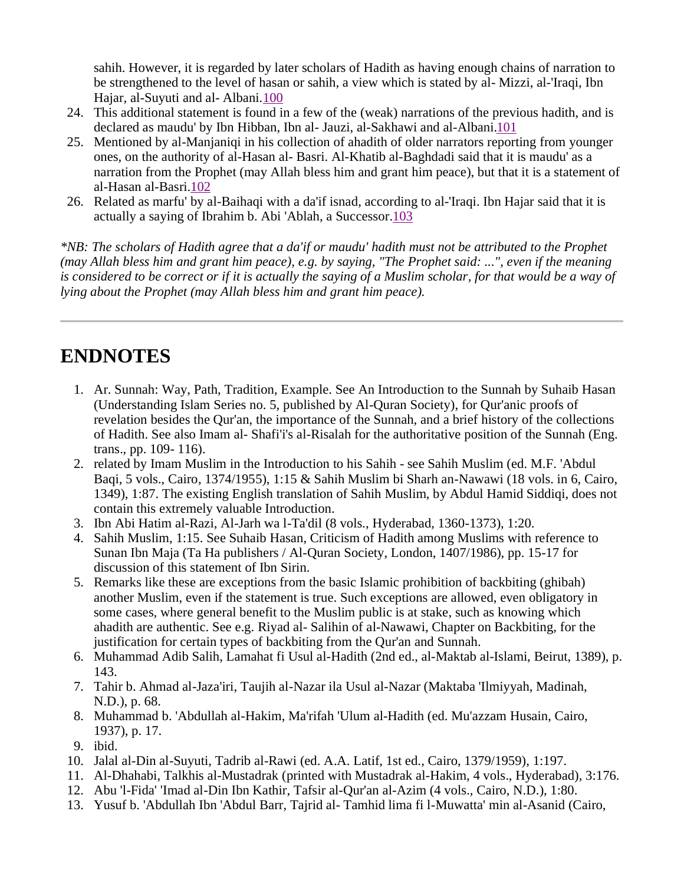sahih. However, it is regarded by later scholars of Hadith as having enough chains of narration to be strengthened to the level of hasan or sahih, a view which is stated by al- Mizzi, al-'Iraqi, Ibn Hajar, al-Suyuti and al- Albani.100

- 24. This additional statement is found in a few of the (weak) narrations of the previous hadith, and is declared as maudu' by Ibn Hibban, Ibn al- Jauzi, al-Sakhawi and al-Albani.101
- 25. Mentioned by al-Manjaniqi in his collection of ahadith of older narrators reporting from younger ones, on the authority of al-Hasan al- Basri. Al-Khatib al-Baghdadi said that it is maudu' as a narration from the Prophet (may Allah bless him and grant him peace), but that it is a statement of al-Hasan al-Basri.102
- 26. Related as marfu' by al-Baihaqi with a da'if isnad, according to al-'Iraqi. Ibn Hajar said that it is actually a saying of Ibrahim b. Abi 'Ablah, a Successor.103

*\*NB: The scholars of Hadith agree that a da'if or maudu' hadith must not be attributed to the Prophet*  (may Allah bless him and grant him peace), e.g. by saying, "The Prophet said: ...", even if the meaning is considered to be correct or if it is actually the saying of a Muslim scholar, for that would be a way of *lying about the Prophet (may Allah bless him and grant him peace).*

## **ENDNOTES**

- 1. Ar. Sunnah: Way, Path, Tradition, Example. See An Introduction to the Sunnah by Suhaib Hasan (Understanding Islam Series no. 5, published by Al-Quran Society), for Qur'anic proofs of revelation besides the Qur'an, the importance of the Sunnah, and a brief history of the collections of Hadith. See also Imam al- Shafi'i's al-Risalah for the authoritative position of the Sunnah (Eng. trans., pp. 109- 116).
- 2. related by Imam Muslim in the Introduction to his Sahih see Sahih Muslim (ed. M.F. 'Abdul Baqi, 5 vols., Cairo, 1374/1955), 1:15 & Sahih Muslim bi Sharh an-Nawawi (18 vols. in 6, Cairo, 1349), 1:87. The existing English translation of Sahih Muslim, by Abdul Hamid Siddiqi, does not contain this extremely valuable Introduction.
- 3. Ibn Abi Hatim al-Razi, Al-Jarh wa l-Ta'dil (8 vols., Hyderabad, 1360-1373), 1:20.
- 4. Sahih Muslim, 1:15. See Suhaib Hasan, Criticism of Hadith among Muslims with reference to Sunan Ibn Maja (Ta Ha publishers / Al-Quran Society, London, 1407/1986), pp. 15-17 for discussion of this statement of Ibn Sirin.
- 5. Remarks like these are exceptions from the basic Islamic prohibition of backbiting (ghibah) another Muslim, even if the statement is true. Such exceptions are allowed, even obligatory in some cases, where general benefit to the Muslim public is at stake, such as knowing which ahadith are authentic. See e.g. Riyad al- Salihin of al-Nawawi, Chapter on Backbiting, for the justification for certain types of backbiting from the Qur'an and Sunnah.
- 6. Muhammad Adib Salih, Lamahat fi Usul al-Hadith (2nd ed., al-Maktab al-Islami, Beirut, 1389), p. 143.
- 7. Tahir b. Ahmad al-Jaza'iri, Taujih al-Nazar ila Usul al-Nazar (Maktaba 'Ilmiyyah, Madinah, N.D.), p. 68.
- 8. Muhammad b. 'Abdullah al-Hakim, Ma'rifah 'Ulum al-Hadith (ed. Mu'azzam Husain, Cairo, 1937), p. 17.
- 9. ibid.
- 10. Jalal al-Din al-Suyuti, Tadrib al-Rawi (ed. A.A. Latif, 1st ed., Cairo, 1379/1959), 1:197.
- 11. Al-Dhahabi, Talkhis al-Mustadrak (printed with Mustadrak al-Hakim, 4 vols., Hyderabad), 3:176.
- 12. Abu 'l-Fida' 'Imad al-Din Ibn Kathir, Tafsir al-Qur'an al-Azim (4 vols., Cairo, N.D.), 1:80.
- 13. Yusuf b. 'Abdullah Ibn 'Abdul Barr, Tajrid al- Tamhid lima fi l-Muwatta' min al-Asanid (Cairo,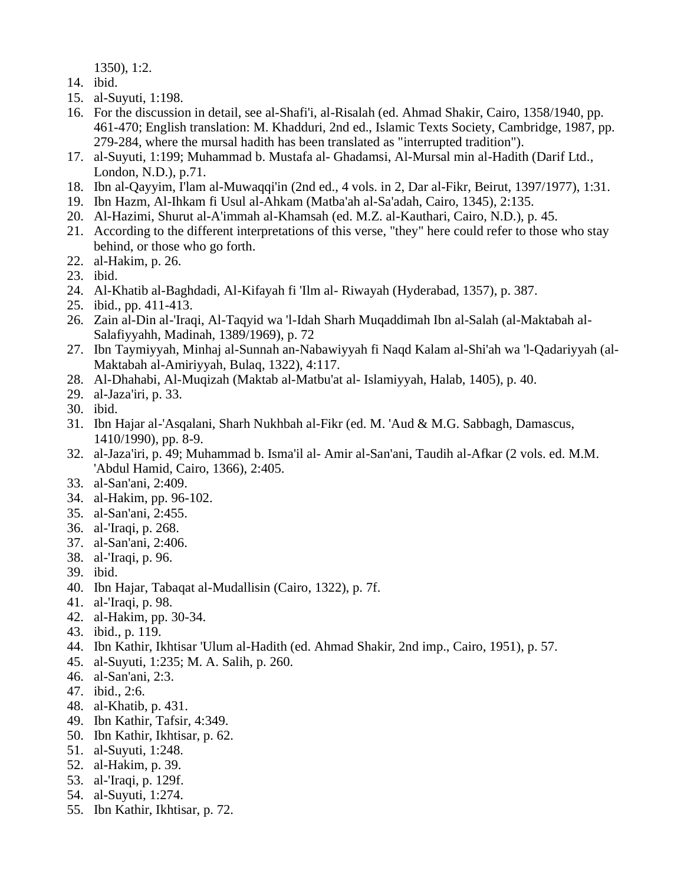1350), 1:2.

- 14. ibid.
- 15. al-Suyuti, 1:198.
- 16. For the discussion in detail, see al-Shafi'i, al-Risalah (ed. Ahmad Shakir, Cairo, 1358/1940, pp. 461-470; English translation: M. Khadduri, 2nd ed., Islamic Texts Society, Cambridge, 1987, pp. 279-284, where the mursal hadith has been translated as "interrupted tradition").
- 17. al-Suyuti, 1:199; Muhammad b. Mustafa al- Ghadamsi, Al-Mursal min al-Hadith (Darif Ltd., London, N.D.), p.71.
- 18. Ibn al-Qayyim, I'lam al-Muwaqqi'in (2nd ed., 4 vols. in 2, Dar al-Fikr, Beirut, 1397/1977), 1:31.
- 19. Ibn Hazm, Al-Ihkam fi Usul al-Ahkam (Matba'ah al-Sa'adah, Cairo, 1345), 2:135.
- 20. Al-Hazimi, Shurut al-A'immah al-Khamsah (ed. M.Z. al-Kauthari, Cairo, N.D.), p. 45.
- 21. According to the different interpretations of this verse, "they" here could refer to those who stay behind, or those who go forth.
- 22. al-Hakim, p. 26.
- 23. ibid.
- 24. Al-Khatib al-Baghdadi, Al-Kifayah fi 'Ilm al- Riwayah (Hyderabad, 1357), p. 387.
- 25. ibid., pp. 411-413.
- 26. Zain al-Din al-'Iraqi, Al-Taqyid wa 'l-Idah Sharh Muqaddimah Ibn al-Salah (al-Maktabah al-Salafiyyahh, Madinah, 1389/1969), p. 72
- 27. Ibn Taymiyyah, Minhaj al-Sunnah an-Nabawiyyah fi Naqd Kalam al-Shi'ah wa 'l-Qadariyyah (al-Maktabah al-Amiriyyah, Bulaq, 1322), 4:117.
- 28. Al-Dhahabi, Al-Muqizah (Maktab al-Matbu'at al- Islamiyyah, Halab, 1405), p. 40.
- 29. al-Jaza'iri, p. 33.
- 30. ibid.
- 31. Ibn Hajar al-'Asqalani, Sharh Nukhbah al-Fikr (ed. M. 'Aud & M.G. Sabbagh, Damascus, 1410/1990), pp. 8-9.
- 32. al-Jaza'iri, p. 49; Muhammad b. Isma'il al- Amir al-San'ani, Taudih al-Afkar (2 vols. ed. M.M. 'Abdul Hamid, Cairo, 1366), 2:405.
- 33. al-San'ani, 2:409.
- 34. al-Hakim, pp. 96-102.
- 35. al-San'ani, 2:455.
- 36. al-'Iraqi, p. 268.
- 37. al-San'ani, 2:406.
- 38. al-'Iraqi, p. 96.
- 39. ibid.
- 40. Ibn Hajar, Tabaqat al-Mudallisin (Cairo, 1322), p. 7f.
- 41. al-'Iraqi, p. 98.
- 42. al-Hakim, pp. 30-34.
- 43. ibid., p. 119.
- 44. Ibn Kathir, Ikhtisar 'Ulum al-Hadith (ed. Ahmad Shakir, 2nd imp., Cairo, 1951), p. 57.
- 45. al-Suyuti, 1:235; M. A. Salih, p. 260.
- 46. al-San'ani, 2:3.
- 47. ibid., 2:6.
- 48. al-Khatib, p. 431.
- 49. Ibn Kathir, Tafsir, 4:349.
- 50. Ibn Kathir, Ikhtisar, p. 62.
- 51. al-Suyuti, 1:248.
- 52. al-Hakim, p. 39.
- 53. al-'Iraqi, p. 129f.
- 54. al-Suyuti, 1:274.
- 55. Ibn Kathir, Ikhtisar, p. 72.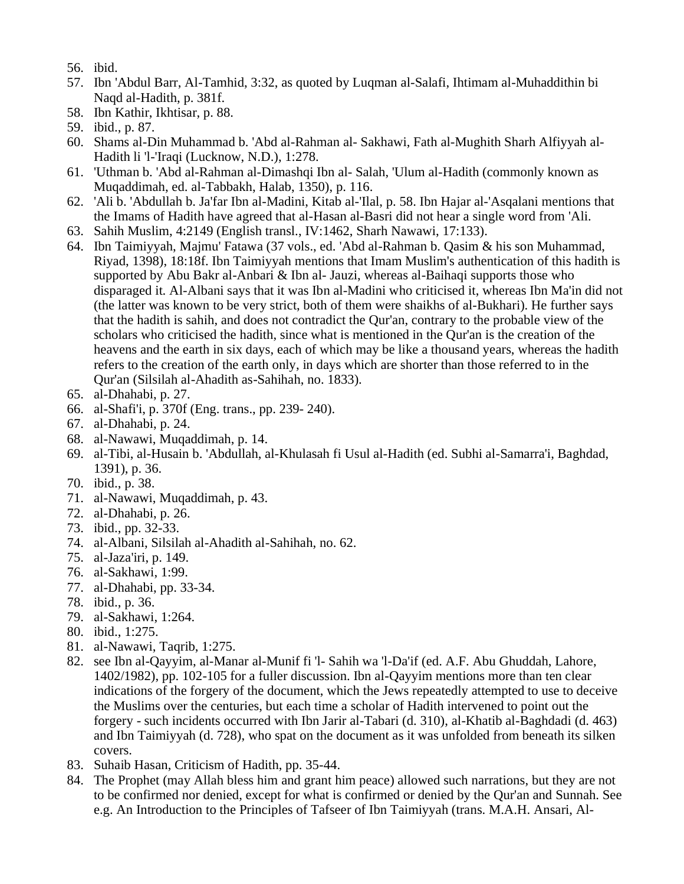- 56. ibid.
- 57. Ibn 'Abdul Barr, Al-Tamhid, 3:32, as quoted by Luqman al-Salafi, Ihtimam al-Muhaddithin bi Naqd al-Hadith, p. 381f.
- 58. Ibn Kathir, Ikhtisar, p. 88.
- 59. ibid., p. 87.
- 60. Shams al-Din Muhammad b. 'Abd al-Rahman al- Sakhawi, Fath al-Mughith Sharh Alfiyyah al-Hadith li 'l-'Iraqi (Lucknow, N.D.), 1:278.
- 61. 'Uthman b. 'Abd al-Rahman al-Dimashqi Ibn al- Salah, 'Ulum al-Hadith (commonly known as Muqaddimah, ed. al-Tabbakh, Halab, 1350), p. 116.
- 62. 'Ali b. 'Abdullah b. Ja'far Ibn al-Madini, Kitab al-'Ilal, p. 58. Ibn Hajar al-'Asqalani mentions that the Imams of Hadith have agreed that al-Hasan al-Basri did not hear a single word from 'Ali.
- 63. Sahih Muslim, 4:2149 (English transl., IV:1462, Sharh Nawawi, 17:133).
- 64. Ibn Taimiyyah, Majmu' Fatawa (37 vols., ed. 'Abd al-Rahman b. Qasim & his son Muhammad, Riyad, 1398), 18:18f. Ibn Taimiyyah mentions that Imam Muslim's authentication of this hadith is supported by Abu Bakr al-Anbari & Ibn al- Jauzi, whereas al-Baihaqi supports those who disparaged it. Al-Albani says that it was Ibn al-Madini who criticised it, whereas Ibn Ma'in did not (the latter was known to be very strict, both of them were shaikhs of al-Bukhari). He further says that the hadith is sahih, and does not contradict the Qur'an, contrary to the probable view of the scholars who criticised the hadith, since what is mentioned in the Qur'an is the creation of the heavens and the earth in six days, each of which may be like a thousand years, whereas the hadith refers to the creation of the earth only, in days which are shorter than those referred to in the Qur'an (Silsilah al-Ahadith as-Sahihah, no. 1833).
- 65. al-Dhahabi, p. 27.
- 66. al-Shafi'i, p. 370f (Eng. trans., pp. 239- 240).
- 67. al-Dhahabi, p. 24.
- 68. al-Nawawi, Muqaddimah, p. 14.
- 69. al-Tibi, al-Husain b. 'Abdullah, al-Khulasah fi Usul al-Hadith (ed. Subhi al-Samarra'i, Baghdad, 1391), p. 36.
- 70. ibid., p. 38.
- 71. al-Nawawi, Muqaddimah, p. 43.
- 72. al-Dhahabi, p. 26.
- 73. ibid., pp. 32-33.
- 74. al-Albani, Silsilah al-Ahadith al-Sahihah, no. 62.
- 75. al-Jaza'iri, p. 149.
- 76. al-Sakhawi, 1:99.
- 77. al-Dhahabi, pp. 33-34.
- 78. ibid., p. 36.
- 79. al-Sakhawi, 1:264.
- 80. ibid., 1:275.
- 81. al-Nawawi, Taqrib, 1:275.
- 82. see Ibn al-Qayyim, al-Manar al-Munif fi 'l- Sahih wa 'l-Da'if (ed. A.F. Abu Ghuddah, Lahore, 1402/1982), pp. 102-105 for a fuller discussion. Ibn al-Qayyim mentions more than ten clear indications of the forgery of the document, which the Jews repeatedly attempted to use to deceive the Muslims over the centuries, but each time a scholar of Hadith intervened to point out the forgery - such incidents occurred with Ibn Jarir al-Tabari (d. 310), al-Khatib al-Baghdadi (d. 463) and Ibn Taimiyyah (d. 728), who spat on the document as it was unfolded from beneath its silken covers.
- 83. Suhaib Hasan, Criticism of Hadith, pp. 35-44.
- 84. The Prophet (may Allah bless him and grant him peace) allowed such narrations, but they are not to be confirmed nor denied, except for what is confirmed or denied by the Qur'an and Sunnah. See e.g. An Introduction to the Principles of Tafseer of Ibn Taimiyyah (trans. M.A.H. Ansari, Al-